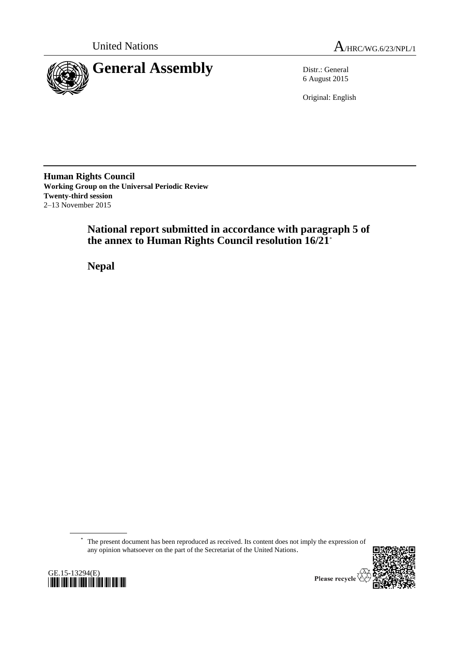



6 August 2015

Original: English

**Human Rights Council Working Group on the Universal Periodic Review Twenty-third session** 2–13 November 2015

> **National report submitted in accordance with paragraph 5 of the annex to Human Rights Council resolution 16/21**\*

**Nepal**

\* The present document has been reproduced as received. Its content does not imply the expression of any opinion whatsoever on the part of the Secretariat of the United Nations.



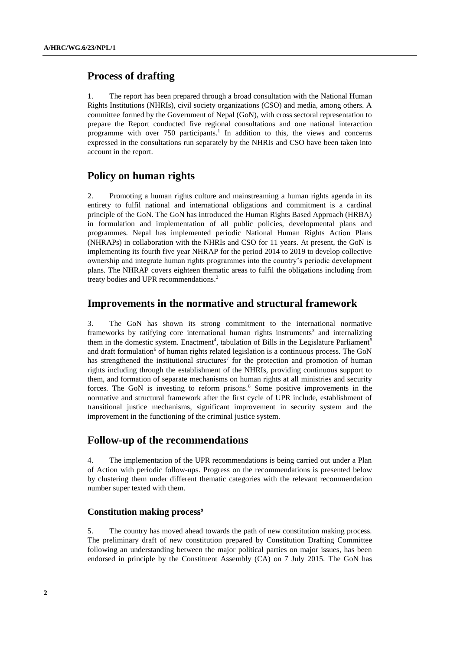# **Process of drafting**

1. The report has been prepared through a broad consultation with the National Human Rights Institutions (NHRIs), civil society organizations (CSO) and media, among others. A committee formed by the Government of Nepal (GoN), with cross sectoral representation to prepare the Report conducted five regional consultations and one national interaction programme with over 750 participants.<sup>1</sup> In addition to this, the views and concerns expressed in the consultations run separately by the NHRIs and CSO have been taken into account in the report.

# **Policy on human rights**

2. Promoting a human rights culture and mainstreaming a human rights agenda in its entirety to fulfil national and international obligations and commitment is a cardinal principle of the GoN. The GoN has introduced the Human Rights Based Approach (HRBA) in formulation and implementation of all public policies, developmental plans and programmes. Nepal has implemented periodic National Human Rights Action Plans (NHRAPs) in collaboration with the NHRIs and CSO for 11 years. At present, the GoN is implementing its fourth five year NHRAP for the period 2014 to 2019 to develop collective ownership and integrate human rights programmes into the country's periodic development plans. The NHRAP covers eighteen thematic areas to fulfil the obligations including from treaty bodies and UPR recommendations.<sup>2</sup>

# **Improvements in the normative and structural framework**

3. The GoN has shown its strong commitment to the international normative frameworks by ratifying core international human rights instruments<sup>3</sup> and internalizing them in the domestic system. Enactment<sup>4</sup>, tabulation of Bills in the Legislature Parliament<sup>5</sup> and draft formulation<sup>6</sup> of human rights related legislation is a continuous process. The GoN has strengthened the institutional structures<sup>7</sup> for the protection and promotion of human rights including through the establishment of the NHRIs, providing continuous support to them, and formation of separate mechanisms on human rights at all ministries and security forces. The GoN is investing to reform prisons. $8$  Some positive improvements in the normative and structural framework after the first cycle of UPR include, establishment of transitional justice mechanisms, significant improvement in security system and the improvement in the functioning of the criminal justice system.

# **Follow-up of the recommendations**

4. The implementation of the UPR recommendations is being carried out under a Plan of Action with periodic follow-ups. Progress on the recommendations is presented below by clustering them under different thematic categories with the relevant recommendation number super texted with them.

### **Constitution making process<sup>9</sup>**

5. The country has moved ahead towards the path of new constitution making process. The preliminary draft of new constitution prepared by Constitution Drafting Committee following an understanding between the major political parties on major issues, has been endorsed in principle by the Constituent Assembly (CA) on 7 July 2015. The GoN has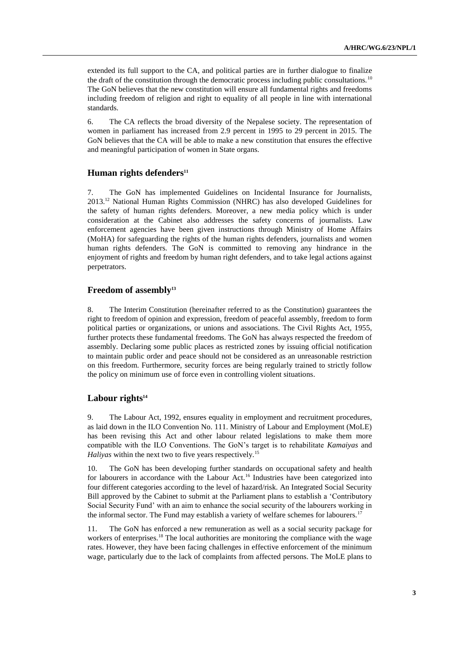extended its full support to the CA, and political parties are in further dialogue to finalize the draft of the constitution through the democratic process including public consultations.<sup>10</sup> The GoN believes that the new constitution will ensure all fundamental rights and freedoms including freedom of religion and right to equality of all people in line with international standards.

6. The CA reflects the broad diversity of the Nepalese society. The representation of women in parliament has increased from 2.9 percent in 1995 to 29 percent in 2015. The GoN believes that the CA will be able to make a new constitution that ensures the effective and meaningful participation of women in State organs.

### **Human rights defenders<sup>11</sup>**

7. The GoN has implemented Guidelines on Incidental Insurance for Journalists, 2013.<sup>12</sup> National Human Rights Commission (NHRC) has also developed Guidelines for the safety of human rights defenders. Moreover, a new media policy which is under consideration at the Cabinet also addresses the safety concerns of journalists. Law enforcement agencies have been given instructions through Ministry of Home Affairs (MoHA) for safeguarding the rights of the human rights defenders, journalists and women human rights defenders. The GoN is committed to removing any hindrance in the enjoyment of rights and freedom by human right defenders, and to take legal actions against perpetrators.

### **Freedom of assembly<sup>13</sup>**

8. The Interim Constitution (hereinafter referred to as the Constitution) guarantees the right to freedom of opinion and expression, freedom of peaceful assembly, freedom to form political parties or organizations, or unions and associations. The Civil Rights Act, 1955, further protects these fundamental freedoms. The GoN has always respected the freedom of assembly. Declaring some public places as restricted zones by issuing official notification to maintain public order and peace should not be considered as an unreasonable restriction on this freedom. Furthermore, security forces are being regularly trained to strictly follow the policy on minimum use of force even in controlling violent situations.

### **Labour rights<sup>14</sup>**

9. The Labour Act, 1992, ensures equality in employment and recruitment procedures, as laid down in the ILO Convention No. 111. Ministry of Labour and Employment (MoLE) has been revising this Act and other labour related legislations to make them more compatible with the ILO Conventions. The GoN's target is to rehabilitate *Kamaiyas* and *Haliyas* within the next two to five years respectively.<sup>15</sup>

10. The GoN has been developing further standards on occupational safety and health for labourers in accordance with the Labour Act.<sup>16</sup> Industries have been categorized into four different categories according to the level of hazard/risk. An Integrated Social Security Bill approved by the Cabinet to submit at the Parliament plans to establish a 'Contributory Social Security Fund' with an aim to enhance the social security of the labourers working in the informal sector. The Fund may establish a variety of welfare schemes for labourers.<sup>17</sup>

11. The GoN has enforced a new remuneration as well as a social security package for workers of enterprises.<sup>18</sup> The local authorities are monitoring the compliance with the wage rates. However, they have been facing challenges in effective enforcement of the minimum wage, particularly due to the lack of complaints from affected persons. The MoLE plans to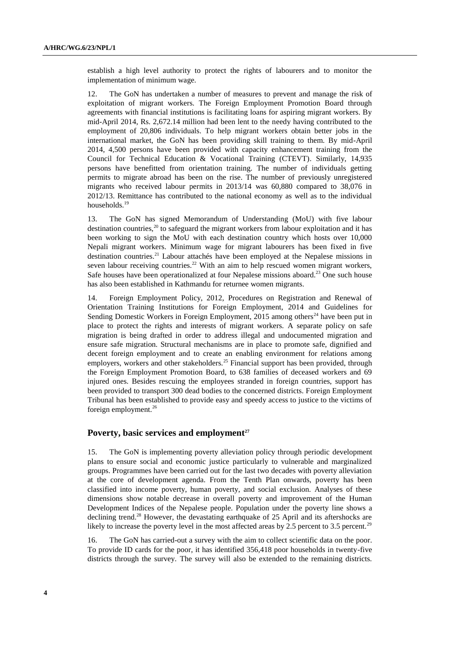establish a high level authority to protect the rights of labourers and to monitor the implementation of minimum wage.

12. The GoN has undertaken a number of measures to prevent and manage the risk of exploitation of migrant workers. The Foreign Employment Promotion Board through agreements with financial institutions is facilitating loans for aspiring migrant workers. By mid-April 2014, Rs. 2,672.14 million had been lent to the needy having contributed to the employment of 20,806 individuals. To help migrant workers obtain better jobs in the international market, the GoN has been providing skill training to them. By mid-April 2014, 4,500 persons have been provided with capacity enhancement training from the Council for Technical Education & Vocational Training (CTEVT). Similarly, 14,935 persons have benefitted from orientation training. The number of individuals getting permits to migrate abroad has been on the rise. The number of previously unregistered migrants who received labour permits in 2013/14 was 60,880 compared to 38,076 in 2012/13. Remittance has contributed to the national economy as well as to the individual households.<sup>19</sup>

13. The GoN has signed Memorandum of Understanding (MoU) with five labour destination countries,  $^{20}$  to safeguard the migrant workers from labour exploitation and it has been working to sign the MoU with each destination country which hosts over 10,000 Nepali migrant workers. Minimum wage for migrant labourers has been fixed in five destination countries.<sup>21</sup> Labour attachés have been employed at the Nepalese missions in seven labour receiving countries.<sup>22</sup> With an aim to help rescued women migrant workers, Safe houses have been operationalized at four Nepalese missions aboard.<sup>23</sup> One such house has also been established in Kathmandu for returnee women migrants.

14. Foreign Employment Policy, 2012, Procedures on Registration and Renewal of Orientation Training Institutions for Foreign Employment, 2014 and Guidelines for Sending Domestic Workers in Foreign Employment,  $2015$  among others<sup>24</sup> have been put in place to protect the rights and interests of migrant workers. A separate policy on safe migration is being drafted in order to address illegal and undocumented migration and ensure safe migration. Structural mechanisms are in place to promote safe, dignified and decent foreign employment and to create an enabling environment for relations among employers, workers and other stakeholders.<sup>25</sup> Financial support has been provided, through the Foreign Employment Promotion Board, to 638 families of deceased workers and 69 injured ones. Besides rescuing the employees stranded in foreign countries, support has been provided to transport 300 dead bodies to the concerned districts. Foreign Employment Tribunal has been established to provide easy and speedy access to justice to the victims of foreign employment.<sup>26</sup>

### **Poverty, basic services and employment<sup>27</sup>**

15. The GoN is implementing poverty alleviation policy through periodic development plans to ensure social and economic justice particularly to vulnerable and marginalized groups. Programmes have been carried out for the last two decades with poverty alleviation at the core of development agenda. From the Tenth Plan onwards, poverty has been classified into income poverty, human poverty, and social exclusion. Analyses of these dimensions show notable decrease in overall poverty and improvement of the Human Development Indices of the Nepalese people. Population under the poverty line shows a declining trend.<sup>28</sup> However, the devastating earthquake of 25 April and its aftershocks are likely to increase the poverty level in the most affected areas by 2.5 percent to 3.5 percent.<sup>29</sup>

16. The GoN has carried-out a survey with the aim to collect scientific data on the poor. To provide ID cards for the poor, it has identified 356,418 poor households in twenty-five districts through the survey. The survey will also be extended to the remaining districts.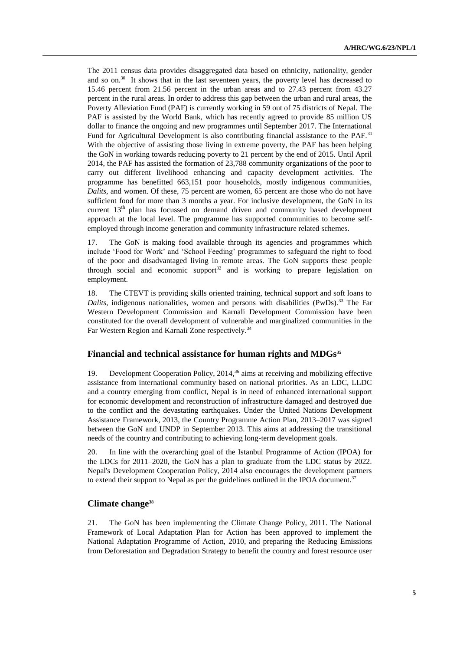The 2011 census data provides disaggregated data based on ethnicity, nationality, gender and so on. $30\,$  It shows that in the last seventeen years, the poverty level has decreased to 15.46 percent from 21.56 percent in the urban areas and to 27.43 percent from 43.27 percent in the rural areas. In order to address this gap between the urban and rural areas, the Poverty Alleviation Fund (PAF) is currently working in 59 out of 75 districts of Nepal. The PAF is assisted by the World Bank, which has recently agreed to provide 85 million US dollar to finance the ongoing and new programmes until September 2017. The International Fund for Agricultural Development is also contributing financial assistance to the PAF.<sup>31</sup> With the objective of assisting those living in extreme poverty, the PAF has been helping the GoN in working towards reducing poverty to 21 percent by the end of 2015. Until April 2014, the PAF has assisted the formation of 23,788 community organizations of the poor to carry out different livelihood enhancing and capacity development activities. The programme has benefitted 663,151 poor households, mostly indigenous communities, *Dalits*, and women. Of these, 75 percent are women, 65 percent are those who do not have sufficient food for more than 3 months a year. For inclusive development, the GoN in its current  $13<sup>th</sup>$  plan has focussed on demand driven and community based development approach at the local level. The programme has supported communities to become selfemployed through income generation and community infrastructure related schemes.

17. The GoN is making food available through its agencies and programmes which include 'Food for Work' and 'School Feeding' programmes to safeguard the right to food of the poor and disadvantaged living in remote areas. The GoN supports these people through social and economic support<sup>32</sup> and is working to prepare legislation on employment.

18. The CTEVT is providing skills oriented training, technical support and soft loans to *Dalits*, indigenous nationalities, women and persons with disabilities (PwDs).<sup>33</sup> The Far Western Development Commission and Karnali Development Commission have been constituted for the overall development of vulnerable and marginalized communities in the Far Western Region and Karnali Zone respectively.<sup>34</sup>

### **Financial and technical assistance for human rights and MDGs<sup>35</sup>**

19. Development Cooperation Policy, 2014,<sup>36</sup> aims at receiving and mobilizing effective assistance from international community based on national priorities. As an LDC, LLDC and a country emerging from conflict, Nepal is in need of enhanced international support for economic development and reconstruction of infrastructure damaged and destroyed due to the conflict and the devastating earthquakes. Under the United Nations Development Assistance Framework, 2013, the Country Programme Action Plan, 2013–2017 was signed between the GoN and UNDP in September 2013. This aims at addressing the transitional needs of the country and contributing to achieving long-term development goals.

20. In line with the overarching goal of the Istanbul Programme of Action (IPOA) for the LDCs for 2011–2020, the GoN has a plan to graduate from the LDC status by 2022. Nepal's Development Cooperation Policy, 2014 also encourages the development partners to extend their support to Nepal as per the guidelines outlined in the IPOA document. $37$ 

## **Climate change<sup>38</sup>**

21. The GoN has been implementing the Climate Change Policy, 2011. The National Framework of Local Adaptation Plan for Action has been approved to implement the National Adaptation Programme of Action, 2010, and preparing the Reducing Emissions from Deforestation and Degradation Strategy to benefit the country and forest resource user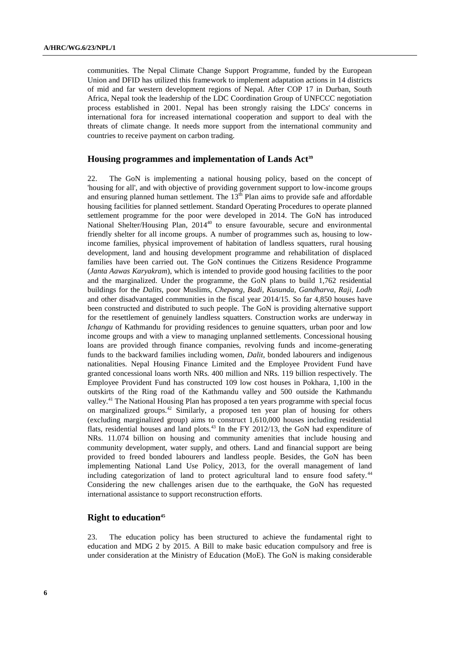communities. The Nepal Climate Change Support Programme, funded by the European Union and DFID has utilized this framework to implement adaptation actions in 14 districts of mid and far western development regions of Nepal. After COP 17 in Durban, South Africa, Nepal took the leadership of the LDC Coordination Group of UNFCCC negotiation process established in 2001. Nepal has been strongly raising the LDCs' concerns in international fora for increased international cooperation and support to deal with the threats of climate change. It needs more support from the international community and countries to receive payment on carbon trading.

### **Housing programmes and implementation of Lands Act<sup>39</sup>**

22. The GoN is implementing a national housing policy, based on the concept of 'housing for all', and with objective of providing government support to low-income groups and ensuring planned human settlement. The  $13<sup>th</sup>$  Plan aims to provide safe and affordable housing facilities for planned settlement. Standard Operating Procedures to operate planned settlement programme for the poor were developed in 2014. The GoN has introduced National Shelter/Housing Plan, 2014<sup>40</sup> to ensure favourable, secure and environmental friendly shelter for all income groups. A number of programmes such as, housing to lowincome families, physical improvement of habitation of landless squatters, rural housing development, land and housing development programme and rehabilitation of displaced families have been carried out. The GoN continues the Citizens Residence Programme (*Janta Aawas Karyakram*), which is intended to provide good housing facilities to the poor and the marginalized. Under the programme, the GoN plans to build 1,762 residential buildings for the *Dalits*, poor Muslims, *Chepang, Badi, Kusunda, Gandharva, Raji, Lodh*  and other disadvantaged communities in the fiscal year 2014/15. So far 4,850 houses have been constructed and distributed to such people. The GoN is providing alternative support for the resettlement of genuinely landless squatters. Construction works are underway in *Ichangu* of Kathmandu for providing residences to genuine squatters, urban poor and low income groups and with a view to managing unplanned settlements. Concessional housing loans are provided through finance companies, revolving funds and income-generating funds to the backward families including women, *Dalit*, bonded labourers and indigenous nationalities. Nepal Housing Finance Limited and the Employee Provident Fund have granted concessional loans worth NRs. 400 million and NRs. 119 billion respectively. The Employee Provident Fund has constructed 109 low cost houses in Pokhara, 1,100 in the outskirts of the Ring road of the Kathmandu valley and 500 outside the Kathmandu valley.<sup>41</sup> The National Housing Plan has proposed a ten years programme with special focus on marginalized groups.<sup>42</sup> Similarly, a proposed ten year plan of housing for others (excluding marginalized group) aims to construct 1,610,000 houses including residential flats, residential houses and land plots.<sup>43</sup> In the FY 2012/13, the GoN had expenditure of NRs. 11.074 billion on housing and community amenities that include housing and community development, water supply, and others. Land and financial support are being provided to freed bonded labourers and landless people. Besides, the GoN has been implementing National Land Use Policy, 2013, for the overall management of land including categorization of land to protect agricultural land to ensure food safety.<sup>44</sup> Considering the new challenges arisen due to the earthquake, the GoN has requested international assistance to support reconstruction efforts.

### **Right to education<sup>45</sup>**

23. The education policy has been structured to achieve the fundamental right to education and MDG 2 by 2015. A Bill to make basic education compulsory and free is under consideration at the Ministry of Education (MoE). The GoN is making considerable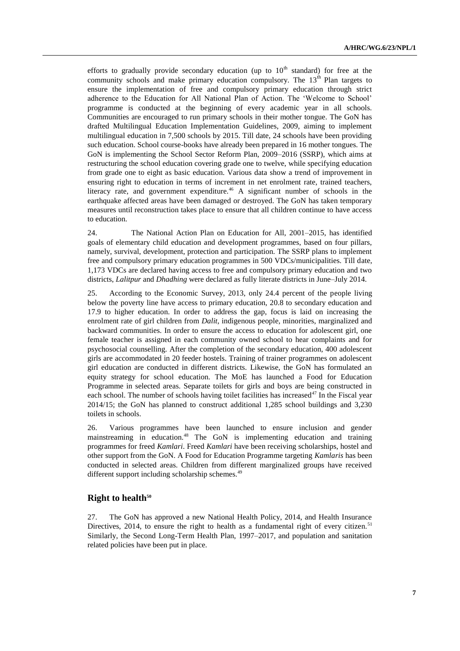efforts to gradually provide secondary education (up to  $10<sup>th</sup>$  standard) for free at the community schools and make primary education compulsory. The  $13<sup>th</sup>$  Plan targets to ensure the implementation of free and compulsory primary education through strict adherence to the Education for All National Plan of Action. The 'Welcome to School' programme is conducted at the beginning of every academic year in all schools. Communities are encouraged to run primary schools in their mother tongue. The GoN has drafted Multilingual Education Implementation Guidelines, 2009, aiming to implement multilingual education in 7,500 schools by 2015. Till date, 24 schools have been providing such education. School course-books have already been prepared in 16 mother tongues. The GoN is implementing the School Sector Reform Plan, 2009–2016 (SSRP), which aims at restructuring the school education covering grade one to twelve, while specifying education from grade one to eight as basic education. Various data show a trend of improvement in ensuring right to education in terms of increment in net enrolment rate, trained teachers, literacy rate, and government expenditure.<sup>46</sup> A significant number of schools in the earthquake affected areas have been damaged or destroyed. The GoN has taken temporary measures until reconstruction takes place to ensure that all children continue to have access to education.

24. The National Action Plan on Education for All, 2001–2015, has identified goals of elementary child education and development programmes, based on four pillars, namely, survival, development, protection and participation. The SSRP plans to implement free and compulsory primary education programmes in 500 VDCs/municipalities. Till date, 1,173 VDCs are declared having access to free and compulsory primary education and two districts, *Lalitpur* and *Dhadhing* were declared as fully literate districts in June–July 2014.

25. According to the Economic Survey, 2013, only 24.4 percent of the people living below the poverty line have access to primary education, 20.8 to secondary education and 17.9 to higher education. In order to address the gap, focus is laid on increasing the enrolment rate of girl children from *Dalit*, indigenous people, minorities, marginalized and backward communities. In order to ensure the access to education for adolescent girl, one female teacher is assigned in each community owned school to hear complaints and for psychosocial counselling. After the completion of the secondary education, 400 adolescent girls are accommodated in 20 feeder hostels. Training of trainer programmes on adolescent girl education are conducted in different districts. Likewise, the GoN has formulated an equity strategy for school education. The MoE has launched a Food for Education Programme in selected areas. Separate toilets for girls and boys are being constructed in each school. The number of schools having toilet facilities has increased<sup>47</sup> In the Fiscal year 2014/15; the GoN has planned to construct additional 1,285 school buildings and 3,230 toilets in schools.

26. Various programmes have been launched to ensure inclusion and gender mainstreaming in education.<sup>48</sup> The GoN is implementing education and training programmes for freed *Kamlari*. Freed *Kamlari* have been receiving scholarships, hostel and other support from the GoN. A Food for Education Programme targeting *Kamlaris* has been conducted in selected areas. Children from different marginalized groups have received different support including scholarship schemes.<sup>49</sup>

### **Right to health<sup>50</sup>**

27. The GoN has approved a new National Health Policy, 2014, and Health Insurance Directives, 2014, to ensure the right to health as a fundamental right of every citizen.<sup>51</sup> Similarly, the Second Long-Term Health Plan, 1997–2017, and population and sanitation related policies have been put in place.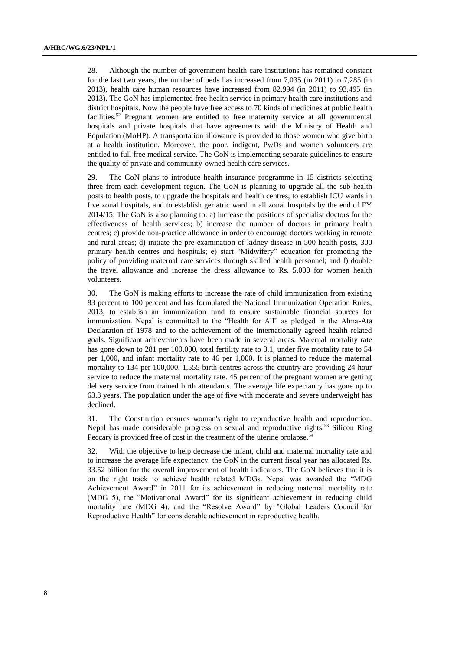28. Although the number of government health care institutions has remained constant for the last two years, the number of beds has increased from 7,035 (in 2011) to 7,285 (in 2013), health care human resources have increased from 82,994 (in 2011) to 93,495 (in 2013). The GoN has implemented free health service in primary health care institutions and district hospitals. Now the people have free access to 70 kinds of medicines at public health facilities.<sup>52</sup> Pregnant women are entitled to free maternity service at all governmental hospitals and private hospitals that have agreements with the Ministry of Health and Population (MoHP). A transportation allowance is provided to those women who give birth at a health institution. Moreover, the poor, indigent, PwDs and women volunteers are entitled to full free medical service. The GoN is implementing separate guidelines to ensure the quality of private and community-owned health care services.

29. The GoN plans to introduce health insurance programme in 15 districts selecting three from each development region. The GoN is planning to upgrade all the sub-health posts to health posts, to upgrade the hospitals and health centres, to establish ICU wards in five zonal hospitals, and to establish geriatric ward in all zonal hospitals by the end of FY 2014/15. The GoN is also planning to: a) increase the positions of specialist doctors for the effectiveness of health services; b) increase the number of doctors in primary health centres; c) provide non-practice allowance in order to encourage doctors working in remote and rural areas; d) initiate the pre-examination of kidney disease in 500 health posts, 300 primary health centres and hospitals; e) start "Midwifery" education for promoting the policy of providing maternal care services through skilled health personnel; and f) double the travel allowance and increase the dress allowance to Rs. 5,000 for women health volunteers.

30. The GoN is making efforts to increase the rate of child immunization from existing 83 percent to 100 percent and has formulated the National Immunization Operation Rules, 2013, to establish an immunization fund to ensure sustainable financial sources for immunization. Nepal is committed to the "Health for All" as pledged in the Alma-Ata Declaration of 1978 and to the achievement of the internationally agreed health related goals. Significant achievements have been made in several areas. Maternal mortality rate has gone down to 281 per 100,000, total fertility rate to 3.1, under five mortality rate to 54 per 1,000, and infant mortality rate to 46 per 1,000. It is planned to reduce the maternal mortality to 134 per 100,000. 1,555 birth centres across the country are providing 24 hour service to reduce the maternal mortality rate. 45 percent of the pregnant women are getting delivery service from trained birth attendants. The average life expectancy has gone up to 63.3 years. The population under the age of five with moderate and severe underweight has declined.

31. The Constitution ensures woman's right to reproductive health and reproduction. Nepal has made considerable progress on sexual and reproductive rights.<sup>53</sup> Silicon Ring Peccary is provided free of cost in the treatment of the uterine prolapse.<sup>54</sup>

32. With the objective to help decrease the infant, child and maternal mortality rate and to increase the average life expectancy, the GoN in the current fiscal year has allocated Rs. 33.52 billion for the overall improvement of health indicators. The GoN believes that it is on the right track to achieve health related MDGs. Nepal was awarded the "MDG Achievement Award" in 2011 for its achievement in reducing maternal mortality rate (MDG 5), the "Motivational Award" for its significant achievement in reducing child mortality rate (MDG 4), and the "Resolve Award" by "Global Leaders Council for Reproductive Health" for considerable achievement in reproductive health.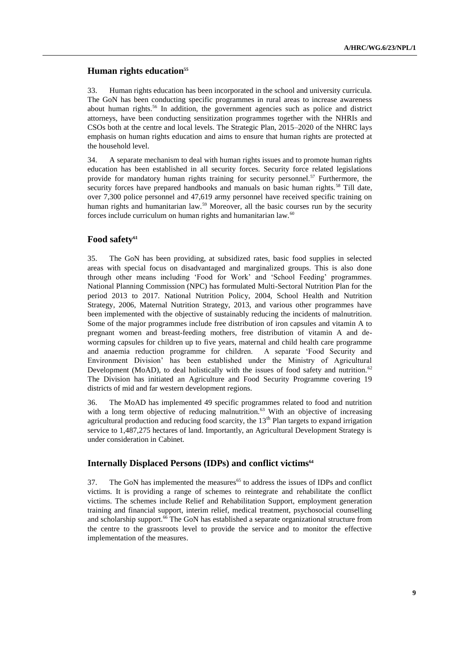## **Human rights education 55**

33. Human rights education has been incorporated in the school and university curricula. The GoN has been conducting specific programmes in rural areas to increase awareness about human rights.<sup>56</sup> In addition, the government agencies such as police and district attorneys, have been conducting sensitization programmes together with the NHRIs and CSOs both at the centre and local levels. The Strategic Plan, 2015–2020 of the NHRC lays emphasis on human rights education and aims to ensure that human rights are protected at the household level.

34. A separate mechanism to deal with human rights issues and to promote human rights education has been established in all security forces. Security force related legislations provide for mandatory human rights training for security personnel.<sup>57</sup> Furthermore, the security forces have prepared handbooks and manuals on basic human rights.<sup>58</sup> Till date, over 7,300 police personnel and 47,619 army personnel have received specific training on human rights and humanitarian law.<sup>59</sup> Moreover, all the basic courses run by the security forces include curriculum on human rights and humanitarian law.<sup>60</sup>

### **Food safety<sup>61</sup>**

35. The GoN has been providing, at subsidized rates, basic food supplies in selected areas with special focus on disadvantaged and marginalized groups. This is also done through other means including 'Food for Work' and 'School Feeding' programmes. National Planning Commission (NPC) has formulated Multi-Sectoral Nutrition Plan for the period 2013 to 2017. National Nutrition Policy, 2004, School Health and Nutrition Strategy, 2006, Maternal Nutrition Strategy, 2013, and various other programmes have been implemented with the objective of sustainably reducing the incidents of malnutrition. Some of the major programmes include free distribution of iron capsules and vitamin A to pregnant women and breast-feeding mothers, free distribution of vitamin A and deworming capsules for children up to five years, maternal and child health care programme and anaemia reduction programme for children. A separate 'Food Security and Environment Division' has been established under the Ministry of Agricultural Development (MoAD), to deal holistically with the issues of food safety and nutrition.<sup>62</sup> The Division has initiated an Agriculture and Food Security Programme covering 19 districts of mid and far western development regions.

36. The MoAD has implemented 49 specific programmes related to food and nutrition with a long term objective of reducing malnutrition.<sup>63</sup> With an objective of increasing agricultural production and reducing food scarcity, the 13<sup>th</sup> Plan targets to expand irrigation service to 1,487,275 hectares of land. Importantly, an Agricultural Development Strategy is under consideration in Cabinet.

### **Internally Displaced Persons (IDPs) and conflict victims<sup>64</sup>**

37. The GoN has implemented the measures<sup>65</sup> to address the issues of IDPs and conflict victims. It is providing a range of schemes to reintegrate and rehabilitate the conflict victims. The schemes include Relief and Rehabilitation Support, employment generation training and financial support, interim relief, medical treatment, psychosocial counselling and scholarship support.<sup>66</sup> The GoN has established a separate organizational structure from the centre to the grassroots level to provide the service and to monitor the effective implementation of the measures.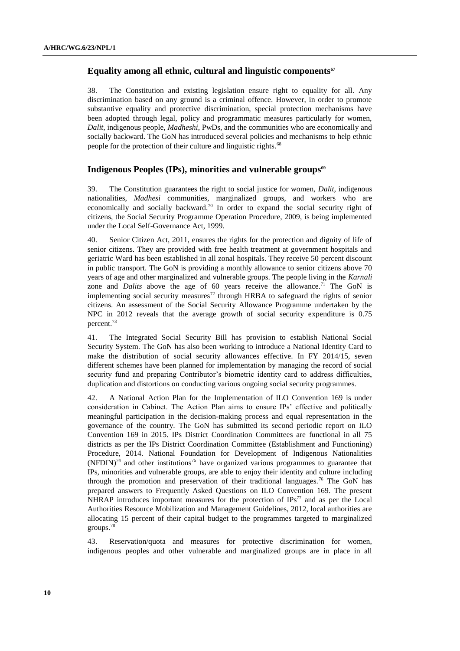## **Equality among all ethnic, cultural and linguistic components<sup>67</sup>**

38. The Constitution and existing legislation ensure right to equality for all. Any discrimination based on any ground is a criminal offence. However, in order to promote substantive equality and protective discrimination, special protection mechanisms have been adopted through legal, policy and programmatic measures particularly for women, *Dalit*, indigenous people, *Madheshi*, PwDs, and the communities who are economically and socially backward. The GoN has introduced several policies and mechanisms to help ethnic people for the protection of their culture and linguistic rights.<sup>68</sup>

## **Indigenous Peoples (IPs), minorities and vulnerable groups<sup>69</sup>**

39. The Constitution guarantees the right to social justice for women, *Dalit*, indigenous nationalities, *Madhesi* communities, marginalized groups, and workers who are economically and socially backward.<sup>70</sup> In order to expand the social security right of citizens, the Social Security Programme Operation Procedure, 2009, is being implemented under the Local Self-Governance Act, 1999.

40. Senior Citizen Act, 2011, ensures the rights for the protection and dignity of life of senior citizens. They are provided with free health treatment at government hospitals and geriatric Ward has been established in all zonal hospitals. They receive 50 percent discount in public transport. The GoN is providing a monthly allowance to senior citizens above 70 years of age and other marginalized and vulnerable groups. The people living in the *Karnali*  zone and *Dalits* above the age of 60 years receive the allowance.<sup>71</sup> The GoN is implementing social security measures<sup>72</sup> through HRBA to safeguard the rights of senior citizens. An assessment of the Social Security Allowance Programme undertaken by the NPC in 2012 reveals that the average growth of social security expenditure is 0.75 percent.<sup>73</sup>

41. The Integrated Social Security Bill has provision to establish National Social Security System. The GoN has also been working to introduce a National Identity Card to make the distribution of social security allowances effective. In FY 2014/15, seven different schemes have been planned for implementation by managing the record of social security fund and preparing Contributor's biometric identity card to address difficulties, duplication and distortions on conducting various ongoing social security programmes.

42. A National Action Plan for the Implementation of ILO Convention 169 is under consideration in Cabinet. The Action Plan aims to ensure IPs' effective and politically meaningful participation in the decision-making process and equal representation in the governance of the country. The GoN has submitted its second periodic report on ILO Convention 169 in 2015. IPs District Coordination Committees are functional in all 75 districts as per the IPs District Coordination Committee (Establishment and Functioning) Procedure, 2014. National Foundation for Development of Indigenous Nationalities  $(NF DIN)^{74}$  and other institutions<sup>75</sup> have organized various programmes to guarantee that IPs, minorities and vulnerable groups, are able to enjoy their identity and culture including through the promotion and preservation of their traditional languages.<sup>76</sup> The GoN has prepared answers to Frequently Asked Questions on ILO Convention 169. The present NHRAP introduces important measures for the protection of  $IPs^{77}$  and as per the Local Authorities Resource Mobilization and Management Guidelines, 2012, local authorities are allocating 15 percent of their capital budget to the programmes targeted to marginalized groups.<sup>78</sup>

43. Reservation/quota and measures for protective discrimination for women, indigenous peoples and other vulnerable and marginalized groups are in place in all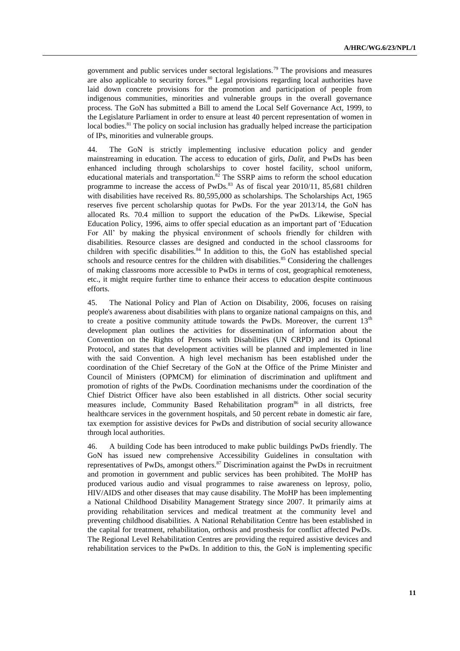government and public services under sectoral legislations.<sup>79</sup> The provisions and measures are also applicable to security forces. $80$  Legal provisions regarding local authorities have laid down concrete provisions for the promotion and participation of people from indigenous communities, minorities and vulnerable groups in the overall governance process. The GoN has submitted a Bill to amend the Local Self Governance Act, 1999, to the Legislature Parliament in order to ensure at least 40 percent representation of women in local bodies.<sup>81</sup> The policy on social inclusion has gradually helped increase the participation of IPs, minorities and vulnerable groups.

44. The GoN is strictly implementing inclusive education policy and gender mainstreaming in education. The access to education of girls, *Dalit*, and PwDs has been enhanced including through scholarships to cover hostel facility, school uniform, educational materials and transportation.<sup>82</sup> The SSRP aims to reform the school education programme to increase the access of  $PwDs$ .<sup>83</sup> As of fiscal year 2010/11, 85,681 children with disabilities have received Rs. 80,595,000 as scholarships. The Scholarships Act, 1965 reserves five percent scholarship quotas for PwDs. For the year 2013/14, the GoN has allocated Rs. 70.4 million to support the education of the PwDs. Likewise, Special Education Policy, 1996, aims to offer special education as an important part of 'Education For All' by making the physical environment of schools friendly for children with disabilities. Resource classes are designed and conducted in the school classrooms for children with specific disabilities.<sup>84</sup> In addition to this, the GoN has established special schools and resource centres for the children with disabilities.<sup>85</sup> Considering the challenges of making classrooms more accessible to PwDs in terms of cost, geographical remoteness, etc., it might require further time to enhance their access to education despite continuous efforts.

45. The National Policy and Plan of Action on Disability, 2006, focuses on raising people's awareness about disabilities with plans to organize national campaigns on this, and to create a positive community attitude towards the PwDs. Moreover, the current  $13<sup>th</sup>$ development plan outlines the activities for dissemination of information about the Convention on the Rights of Persons with Disabilities (UN CRPD) and its Optional Protocol, and states that development activities will be planned and implemented in line with the said Convention. A high level mechanism has been established under the coordination of the Chief Secretary of the GoN at the Office of the Prime Minister and Council of Ministers (OPMCM) for elimination of discrimination and upliftment and promotion of rights of the PwDs. Coordination mechanisms under the coordination of the Chief District Officer have also been established in all districts. Other social security measures include, Community Based Rehabilitation program<sup>86</sup> in all districts, free healthcare services in the government hospitals, and 50 percent rebate in domestic air fare, tax exemption for assistive devices for PwDs and distribution of social security allowance through local authorities.

46. A building Code has been introduced to make public buildings PwDs friendly. The GoN has issued new comprehensive Accessibility Guidelines in consultation with representatives of PwDs, amongst others.<sup>87</sup> Discrimination against the PwDs in recruitment and promotion in government and public services has been prohibited. The MoHP has produced various audio and visual programmes to raise awareness on leprosy, polio, HIV/AIDS and other diseases that may cause disability. The MoHP has been implementing a National Childhood Disability Management Strategy since 2007. It primarily aims at providing rehabilitation services and medical treatment at the community level and preventing childhood disabilities. A National Rehabilitation Centre has been established in the capital for treatment, rehabilitation, orthosis and prosthesis for conflict affected PwDs. The Regional Level Rehabilitation Centres are providing the required assistive devices and rehabilitation services to the PwDs. In addition to this, the GoN is implementing specific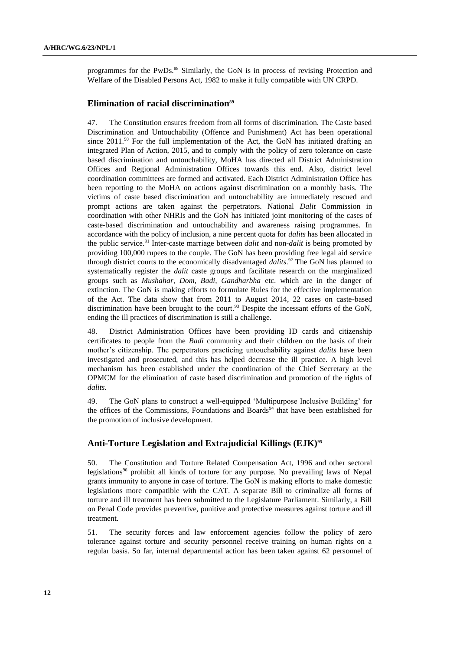programmes for the PwDs.<sup>88</sup> Similarly, the GoN is in process of revising Protection and [Welfare of the Disabled Persons Act, 1982](http://www.lawcommission.gov.np/index.php?option=com_remository&Itemid=2&func=fileinfo&id=1742&lang=en) to make it fully compatible with UN CRPD.

## **Elimination of racial discrimination<sup>89</sup>**

47. The Constitution ensures freedom from all forms of discrimination. The Caste based Discrimination and Untouchability (Offence and Punishment) Act has been operational since  $2011$ .<sup>90</sup> For the full implementation of the Act, the GoN has initiated drafting an integrated Plan of Action, 2015, and to comply with the policy of zero tolerance on caste based discrimination and untouchability, MoHA has directed all District Administration Offices and Regional Administration Offices towards this end. Also, district level coordination committees are formed and activated. Each District Administration Office has been reporting to the MoHA on actions against discrimination on a monthly basis. The victims of caste based discrimination and untouchability are immediately rescued and prompt actions are taken against the perpetrators. National *Dalit* Commission in coordination with other NHRIs and the GoN has initiated joint monitoring of the cases of caste-based discrimination and untouchability and awareness raising programmes. In accordance with the policy of inclusion, a nine percent quota for *dalits* has been allocated in the public service.<sup>91</sup> Inter-caste marriage between *dalit* and non*-dalit* is being promoted by providing 100,000 rupees to the couple. The GoN has been providing free legal aid service through district courts to the economically disadvantaged *dalits*. <sup>92</sup> The GoN has planned to systematically register the *dalit* caste groups and facilitate research on the marginalized groups such as *Mushahar, Dom, Badi, Gandharbha* etc. which are in the danger of extinction. The GoN is making efforts to formulate Rules for the effective implementation of the Act. The data show that from 2011 to August 2014, 22 cases on caste-based discrimination have been brought to the court.<sup>93</sup> Despite the incessant efforts of the GoN, ending the ill practices of discrimination is still a challenge.

48. District Administration Offices have been providing ID cards and citizenship certificates to people from the *Badi* community and their children on the basis of their mother's citizenship. The perpetrators practicing untouchability against *dalits* have been investigated and prosecuted, and this has helped decrease the ill practice. A high level mechanism has been established under the coordination of the Chief Secretary at the OPMCM for the elimination of caste based discrimination and promotion of the rights of *dalits*.

49. The GoN plans to construct a well-equipped 'Multipurpose Inclusive Building' for the offices of the Commissions, Foundations and Boards<sup>94</sup> that have been established for the promotion of inclusive development.

## **Anti-Torture Legislation and Extrajudicial Killings (EJK)<sup>95</sup>**

50. The Constitution and Torture Related Compensation Act, 1996 and other sectoral legislations<sup>96</sup> prohibit all kinds of torture for any purpose. No prevailing laws of Nepal grants immunity to anyone in case of torture. The GoN is making efforts to make domestic legislations more compatible with the CAT. A separate Bill to criminalize all forms of torture and ill treatment has been submitted to the Legislature Parliament. Similarly, a Bill on Penal Code provides preventive, punitive and protective measures against torture and ill treatment.

51. The security forces and law enforcement agencies follow the policy of zero tolerance against torture and security personnel receive training on human rights on a regular basis. So far, internal departmental action has been taken against 62 personnel of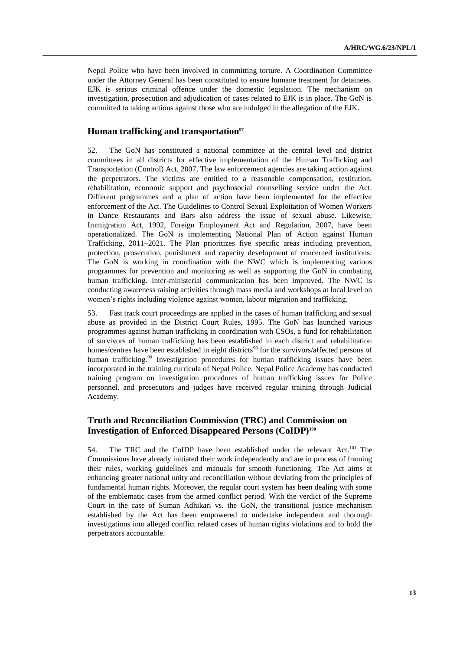Nepal Police who have been involved in committing torture. A Coordination Committee under the Attorney General has been constituted to ensure humane treatment for detainees. EJK is serious criminal offence under the domestic legislation. The mechanism on investigation, prosecution and adjudication of cases related to EJK is in place. The GoN is committed to taking actions against those who are indulged in the allegation of the EJK.

## **Human trafficking and transportation<sup>97</sup>**

52. The GoN has constituted a national committee at the central level and district committees in all districts for effective implementation of the Human Trafficking and Transportation (Control) Act, 2007. The law enforcement agencies are taking action against the perpetrators. The victims are entitled to a reasonable compensation, restitution, rehabilitation, economic support and psychosocial counselling service under the Act. Different programmes and a plan of action have been implemented for the effective enforcement of the Act. The Guidelines to Control Sexual Exploitation of Women Workers in Dance Restaurants and Bars also address the issue of sexual abuse. Likewise, Immigration Act, 1992, Foreign Employment Act and Regulation, 2007, have been operationalized. The GoN is implementing National Plan of Action against Human Trafficking, 2011–2021. The Plan prioritizes five specific areas including prevention, protection, prosecution, punishment and capacity development of concerned institutions. The GoN is working in coordination with the NWC which is implementing various programmes for prevention and monitoring as well as supporting the GoN in combating human trafficking. Inter-ministerial communication has been improved. The NWC is conducting awareness raising activities through mass media and workshops at local level on women's rights including violence against women, labour migration and trafficking.

53. Fast track court proceedings are applied in the cases of human trafficking and sexual abuse as provided in the District Court Rules, 1995. The GoN has launched various programmes against human trafficking in coordination with CSOs, a fund for rehabilitation of survivors of human trafficking has been established in each district and rehabilitation homes/centres have been established in eight districts<sup>98</sup> for the survivors/affected persons of human trafficking.<sup>99</sup> Investigation procedures for human trafficking issues have been incorporated in the training curricula of Nepal Police. Nepal Police Academy has conducted training program on investigation procedures of human trafficking issues for Police personnel, and prosecutors and judges have received regular training through Judicial Academy.

## **Truth and Reconciliation Commission (TRC) and Commission on Investigation of Enforced Disappeared Persons (CoIDP)<sup>100</sup>**

54. The TRC and the CoIDP have been established under the relevant Act.<sup>101</sup> The Commissions have already initiated their work independently and are in process of framing their rules, working guidelines and manuals for smooth functioning. The Act aims at enhancing greater national unity and reconciliation without deviating from the principles of fundamental human rights. Moreover, the regular court system has been dealing with some of the emblematic cases from the armed conflict period. With the verdict of the Supreme Court in the case of Suman Adhikari vs. the GoN, the transitional justice mechanism established by the Act has been empowered to undertake independent and thorough investigations into alleged conflict related cases of human rights violations and to hold the perpetrators accountable.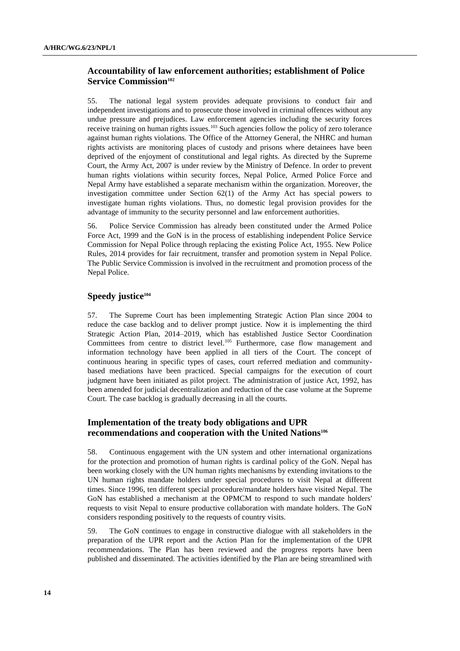# **Accountability of law enforcement authorities; establishment of Police Service Commission<sup>102</sup>**

55. The national legal system provides adequate provisions to conduct fair and independent investigations and to prosecute those involved in criminal offences without any undue pressure and prejudices. Law enforcement agencies including the security forces receive training on human rights issues.<sup>103</sup> Such agencies follow the policy of zero tolerance against human rights violations. The Office of the Attorney General, the NHRC and human rights activists are monitoring places of custody and prisons where detainees have been deprived of the enjoyment of constitutional and legal rights. As directed by the Supreme Court, the Army Act, 2007 is under review by the Ministry of Defence. In order to prevent human rights violations within security forces, Nepal Police, Armed Police Force and Nepal Army have established a separate mechanism within the organization. Moreover, the investigation committee under Section  $62(1)$  of the Army Act has special powers to investigate human rights violations. Thus, no domestic legal provision provides for the advantage of immunity to the security personnel and law enforcement authorities.

56. Police Service Commission has already been constituted under the Armed Police Force Act, 1999 and the GoN is in the process of establishing independent Police Service Commission for Nepal Police through replacing the existing Police Act, 1955. New Police Rules, 2014 provides for fair recruitment, transfer and promotion system in Nepal Police. The Public Service Commission is involved in the recruitment and promotion process of the Nepal Police.

# **Speedy justice<sup>104</sup>**

57. The Supreme Court has been implementing Strategic Action Plan since 2004 to reduce the case backlog and to deliver prompt justice. Now it is implementing the third Strategic Action Plan, 2014–2019, which has established Justice Sector Coordination Committees from centre to district level.<sup>105</sup> Furthermore, case flow management and information technology have been applied in all tiers of the Court. The concept of continuous hearing in specific types of cases, court referred mediation and communitybased mediations have been practiced. Special campaigns for the execution of court judgment have been initiated as pilot project. The administration of justice Act, 1992, has been amended for judicial decentralization and reduction of the case volume at the Supreme Court. The case backlog is gradually decreasing in all the courts.

## **Implementation of the treaty body obligations and UPR recommendations and cooperation with the United Nations<sup>106</sup>**

58. Continuous engagement with the UN system and other international organizations for the protection and promotion of human rights is cardinal policy of the GoN. Nepal has been working closely with the UN human rights mechanisms by extending invitations to the UN human rights mandate holders under special procedures to visit Nepal at different times. Since 1996, ten different special procedure/mandate holders have visited Nepal. The GoN has established a mechanism at the OPMCM to respond to such mandate holders' requests to visit Nepal to ensure productive collaboration with mandate holders. The GoN considers responding positively to the requests of country visits.

59. The GoN continues to engage in constructive dialogue with all stakeholders in the preparation of the UPR report and the Action Plan for the implementation of the UPR recommendations. The Plan has been reviewed and the progress reports have been published and disseminated. The activities identified by the Plan are being streamlined with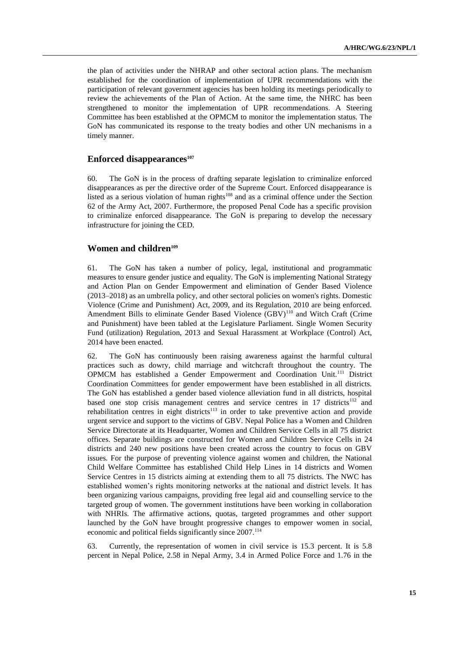the plan of activities under the NHRAP and other sectoral action plans. The mechanism established for the coordination of implementation of UPR recommendations with the participation of relevant government agencies has been holding its meetings periodically to review the achievements of the Plan of Action. At the same time, the NHRC has been strengthened to monitor the implementation of UPR recommendations. A Steering Committee has been established at the OPMCM to monitor the implementation status. The GoN has communicated its response to the treaty bodies and other UN mechanisms in a timely manner.

### **Enforced disappearances<sup>107</sup>**

60. The GoN is in the process of drafting separate legislation to criminalize enforced disappearances as per the directive order of the Supreme Court. Enforced disappearance is listed as a serious violation of human rights $108$  and as a criminal offence under the Section 62 of the Army Act, 2007. Furthermore, the proposed Penal Code has a specific provision to criminalize enforced disappearance. The GoN is preparing to develop the necessary infrastructure for joining the CED.

### **Women and children<sup>109</sup>**

61. The GoN has taken a number of policy, legal, institutional and programmatic measures to ensure gender justice and equality. The GoN is implementing National Strategy and Action Plan on Gender Empowerment and elimination of Gender Based Violence (2013–2018) as an umbrella policy, and other sectoral policies on women's rights. Domestic Violence (Crime and Punishment) Act, 2009, and its Regulation, 2010 are being enforced. Amendment Bills to eliminate Gender Based Violence  $(GBV)$ <sup>110</sup> and Witch Craft (Crime and Punishment) have been tabled at the Legislature Parliament. Single Women Security Fund (utilization) Regulation, 2013 and Sexual Harassment at Workplace (Control) Act, 2014 have been enacted.

62. The GoN has continuously been raising awareness against the harmful cultural practices such as dowry, child marriage and witchcraft throughout the country. The OPMCM has established a Gender Empowerment and Coordination Unit.<sup>111</sup> District Coordination Committees for gender empowerment have been established in all districts. The GoN has established a gender based violence alleviation fund in all districts, hospital based one stop crisis management centres and service centres in 17 districts<sup>112</sup> and rehabilitation centres in eight districts<sup>113</sup> in order to take preventive action and provide urgent service and support to the victims of GBV. Nepal Police has a Women and Children Service Directorate at its Headquarter, Women and Children Service Cells in all 75 district offices. Separate buildings are constructed for Women and Children Service Cells in 24 districts and 240 new positions have been created across the country to focus on GBV issues. For the purpose of preventing violence against women and children, the National Child Welfare Committee has established Child Help Lines in 14 districts and Women Service Centres in 15 districts aiming at extending them to all 75 districts. The NWC has established women's rights monitoring networks at the national and district levels. It has been organizing various campaigns, providing free legal aid and counselling service to the targeted group of women. The government institutions have been working in collaboration with NHRIs. The affirmative actions, quotas, targeted programmes and other support launched by the GoN have brought progressive changes to empower women in social, economic and political fields significantly since 2007.<sup>114</sup>

63. Currently, the representation of women in civil service is 15.3 percent. It is 5.8 percent in Nepal Police, 2.58 in Nepal Army, 3.4 in Armed Police Force and 1.76 in the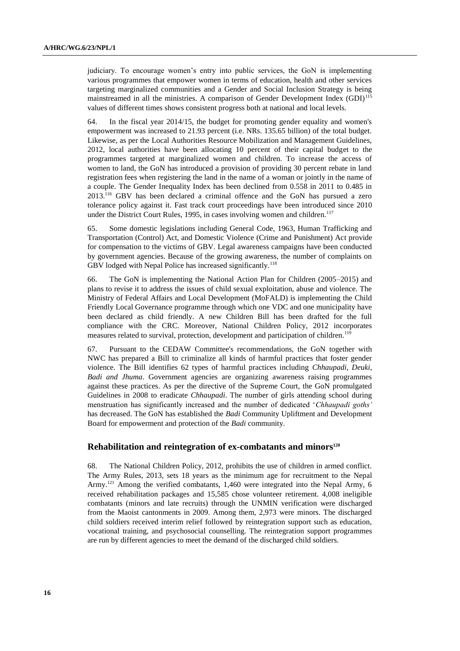judiciary. To encourage women's entry into public services, the GoN is implementing various programmes that empower women in terms of education, health and other services targeting marginalized communities and a Gender and Social Inclusion Strategy is being mainstreamed in all the ministries. A comparison of Gender Development Index  $(GDI)$ <sup>115</sup> values of different times shows consistent progress both at national and local levels.

64. In the fiscal year 2014/15, the budget for promoting gender equality and women's empowerment was increased to 21.93 percent (i.e. NRs. 135.65 billion) of the total budget. Likewise, as per the Local Authorities Resource Mobilization and Management Guidelines, 2012, local authorities have been allocating 10 percent of their capital budget to the programmes targeted at marginalized women and children. To increase the access of women to land, the GoN has introduced a provision of providing 30 percent rebate in land registration fees when registering the land in the name of a woman or jointly in the name of a couple. The Gender Inequality Index has been declined from 0.558 in 2011 to 0.485 in 2013.<sup>116</sup> GBV has been declared a criminal offence and the GoN has pursued a zero tolerance policy against it. Fast track court proceedings have been introduced since 2010 under the District Court Rules, 1995, in cases involving women and children.<sup>117</sup>

65. Some domestic legislations including General Code, 1963, Human Trafficking and Transportation (Control) Act, and Domestic Violence (Crime and Punishment) Act provide for compensation to the victims of GBV. Legal awareness campaigns have been conducted by government agencies. Because of the growing awareness, the number of complaints on GBV lodged with Nepal Police has increased significantly.<sup>118</sup>

66. The GoN is implementing the National Action Plan for Children (2005–2015) and plans to revise it to address the issues of child sexual exploitation, abuse and violence. The Ministry of Federal Affairs and Local Development (MoFALD) is implementing the Child Friendly Local Governance programme through which one VDC and one municipality have been declared as child friendly. A new Children Bill has been drafted for the full compliance with the CRC. Moreover, National Children Policy, 2012 incorporates measures related to survival, protection, development and participation of children.<sup>119</sup>

67. Pursuant to the CEDAW Committee's recommendations, the GoN together with NWC has prepared a Bill to criminalize all kinds of harmful practices that foster gender violence. The Bill identifies 62 types of harmful practices including *Chhaupadi, Deuki, Badi and Jhuma*. Government agencies are organizing awareness raising programmes against these practices. As per the directive of the Supreme Court, the GoN promulgated Guidelines in 2008 to eradicate *Chhaupadi*. The number of girls attending school during menstruation has significantly increased and the number of dedicated '*Chhaupadi goths'*  has decreased. The GoN has established the *Badi* Community Upliftment and Development Board for empowerment and protection of the *Badi* community.

### **Rehabilitation and reintegration of ex-combatants and minors<sup>120</sup>**

68. The National Children Policy, 2012, prohibits the use of children in armed conflict. The Army Rules, 2013, sets 18 years as the minimum age for recruitment to the Nepal Army.<sup>121</sup> Among the verified combatants, 1,460 were integrated into the Nepal Army, 6 received rehabilitation packages and 15,585 chose volunteer retirement. 4,008 ineligible combatants (minors and late recruits) through the UNMIN verification were discharged from the Maoist cantonments in 2009. Among them, 2,973 were minors. The discharged child soldiers received interim relief followed by reintegration support such as education, vocational training, and psychosocial counselling. The reintegration support programmes are run by different agencies to meet the demand of the discharged child soldiers.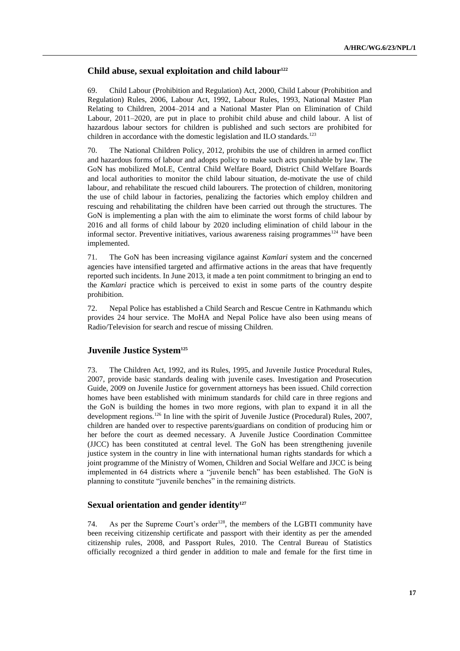## **Child abuse, sexual exploitation and child labour<sup>122</sup>**

69. Child Labour (Prohibition and Regulation) Act, 2000, Child Labour (Prohibition and Regulation) Rules, 2006, Labour Act, 1992, Labour Rules, 1993, National Master Plan Relating to Children, 2004–2014 and a National Master Plan on Elimination of Child Labour, 2011–2020, are put in place to prohibit child abuse and child labour. A list of hazardous labour sectors for children is published and such sectors are prohibited for children in accordance with the domestic legislation and ILO standards.<sup>123</sup>

70. The National Children Policy, 2012, prohibits the use of children in armed conflict and hazardous forms of labour and adopts policy to make such acts punishable by law. The GoN has mobilized MoLE, Central Child Welfare Board, District Child Welfare Boards and local authorities to monitor the child labour situation, de-motivate the use of child labour, and rehabilitate the rescued child labourers. The protection of children, monitoring the use of child labour in factories, penalizing the factories which employ children and rescuing and rehabilitating the children have been carried out through the structures. The GoN is implementing a plan with the aim to eliminate the worst forms of child labour by 2016 and all forms of child labour by 2020 including elimination of child labour in the informal sector. Preventive initiatives, various awareness raising programmes<sup>124</sup> have been implemented.

71. The GoN has been increasing vigilance against *Kamlari* system and the concerned agencies have intensified targeted and affirmative actions in the areas that have frequently reported such incidents. In June 2013, it made a ten point commitment to bringing an end to the *Kamlari* practice which is perceived to exist in some parts of the country despite prohibition.

72. Nepal Police has established a Child Search and Rescue Centre in Kathmandu which provides 24 hour service. The MoHA and Nepal Police have also been using means of Radio/Television for search and rescue of missing Children.

## **Juvenile Justice System<sup>125</sup>**

73. The Children Act, 1992, and its Rules, 1995, and Juvenile Justice Procedural Rules, 2007, provide basic standards dealing with juvenile cases. Investigation and Prosecution Guide, 2009 on Juvenile Justice for government attorneys has been issued. Child correction homes have been established with minimum standards for child care in three regions and the GoN is building the homes in two more regions, with plan to expand it in all the development regions.<sup>126</sup> In line with the spirit of Juvenile Justice (Procedural) Rules, 2007, children are handed over to respective parents/guardians on condition of producing him or her before the court as deemed necessary. A Juvenile Justice Coordination Committee (JJCC) has been constituted at central level. The GoN has been strengthening juvenile justice system in the country in line with international human rights standards for which a joint programme of the Ministry of Women, Children and Social Welfare and JJCC is being implemented in 64 districts where a "juvenile bench" has been established. The GoN is planning to constitute "juvenile benches" in the remaining districts.

## **Sexual orientation and gender identity<sup>127</sup>**

74. As per the Supreme Court's order<sup>128</sup>, the members of the LGBTI community have been receiving citizenship certificate and passport with their identity as per the amended citizenship rules, 2008, and Passport Rules, 2010. The Central Bureau of Statistics officially recognized a third gender in addition to male and female for the first time in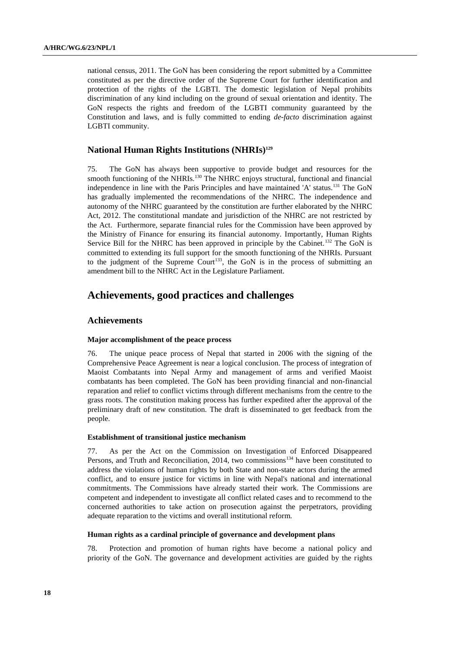national census, 2011. The GoN has been considering the report submitted by a Committee constituted as per the directive order of the Supreme Court for further identification and protection of the rights of the LGBTI. The domestic legislation of Nepal prohibits discrimination of any kind including on the ground of sexual orientation and identity. The GoN respects the rights and freedom of the LGBTI community guaranteed by the Constitution and laws, and is fully committed to ending *de-facto* discrimination against LGBTI community.

## **National Human Rights Institutions (NHRIs)<sup>129</sup>**

75. The GoN has always been supportive to provide budget and resources for the smooth functioning of the NHRIs.<sup>130</sup> The NHRC enjoys structural, functional and financial independence in line with the Paris Principles and have maintained 'A' status.<sup>131</sup> The GoN has gradually implemented the recommendations of the NHRC. The independence and autonomy of the NHRC guaranteed by the constitution are further elaborated by the NHRC Act, 2012. The constitutional mandate and jurisdiction of the NHRC are not restricted by the Act. Furthermore, separate financial rules for the Commission have been approved by the Ministry of Finance for ensuring its financial autonomy. Importantly, Human Rights Service Bill for the NHRC has been approved in principle by the Cabinet.<sup>132</sup> The GoN is committed to extending its full support for the smooth functioning of the NHRIs. Pursuant to the judgment of the Supreme Court<sup>133</sup>, the GoN is in the process of submitting an amendment bill to the NHRC Act in the Legislature Parliament.

# **Achievements, good practices and challenges**

### **Achievements**

### **Major accomplishment of the peace process**

76. The unique peace process of Nepal that started in 2006 with the signing of the Comprehensive Peace Agreement is near a logical conclusion. The process of integration of Maoist Combatants into Nepal Army and management of arms and verified Maoist combatants has been completed. The GoN has been providing financial and non-financial reparation and relief to conflict victims through different mechanisms from the centre to the grass roots. The constitution making process has further expedited after the approval of the preliminary draft of new constitution. The draft is disseminated to get feedback from the people.

#### **Establishment of transitional justice mechanism**

77. As per the Act on the Commission on Investigation of Enforced Disappeared Persons, and Truth and Reconciliation, 2014, two commissions<sup>134</sup> have been constituted to address the violations of human rights by both State and non-state actors during the armed conflict, and to ensure justice for victims in line with Nepal's national and international commitments. The Commissions have already started their work. The Commissions are competent and independent to investigate all conflict related cases and to recommend to the concerned authorities to take action on prosecution against the perpetrators, providing adequate reparation to the victims and overall institutional reform.

#### **Human rights as a cardinal principle of governance and development plans**

78. Protection and promotion of human rights have become a national policy and priority of the GoN. The governance and development activities are guided by the rights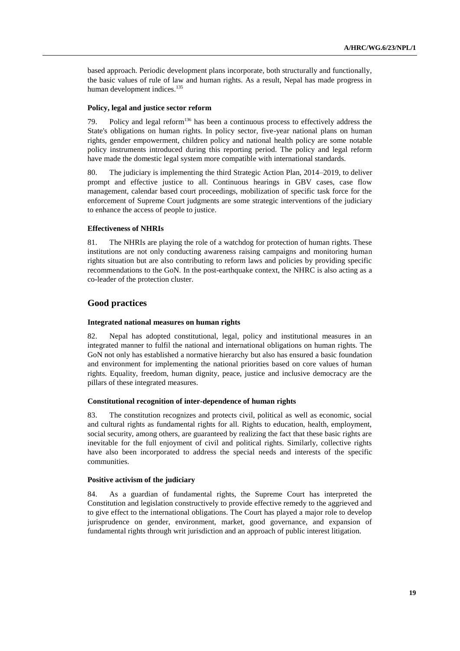based approach. Periodic development plans incorporate, both structurally and functionally, the basic values of rule of law and human rights. As a result, Nepal has made progress in human development indices.<sup>135</sup>

### **Policy, legal and justice sector reform**

79. Policy and legal reform $136$  has been a continuous process to effectively address the State's obligations on human rights. In policy sector, five-year national plans on human rights, gender empowerment, children policy and national health policy are some notable policy instruments introduced during this reporting period. The policy and legal reform have made the domestic legal system more compatible with international standards.

80. The judiciary is implementing the third Strategic Action Plan, 2014–2019, to deliver prompt and effective justice to all. Continuous hearings in GBV cases, case flow management, calendar based court proceedings, mobilization of specific task force for the enforcement of Supreme Court judgments are some strategic interventions of the judiciary to enhance the access of people to justice.

### **Effectiveness of NHRIs**

81. The NHRIs are playing the role of a watchdog for protection of human rights. These institutions are not only conducting awareness raising campaigns and monitoring human rights situation but are also contributing to reform laws and policies by providing specific recommendations to the GoN. In the post-earthquake context, the NHRC is also acting as a co-leader of the protection cluster.

### **Good practices**

#### **Integrated national measures on human rights**

82. Nepal has adopted constitutional, legal, policy and institutional measures in an integrated manner to fulfil the national and international obligations on human rights. The GoN not only has established a normative hierarchy but also has ensured a basic foundation and environment for implementing the national priorities based on core values of human rights. Equality, freedom, human dignity, peace, justice and inclusive democracy are the pillars of these integrated measures.

#### **Constitutional recognition of inter-dependence of human rights**

83. The constitution recognizes and protects civil, political as well as economic, social and cultural rights as fundamental rights for all. Rights to education, health, employment, social security, among others, are guaranteed by realizing the fact that these basic rights are inevitable for the full enjoyment of civil and political rights. Similarly, collective rights have also been incorporated to address the special needs and interests of the specific communities.

#### **Positive activism of the judiciary**

84. As a guardian of fundamental rights, the Supreme Court has interpreted the Constitution and legislation constructively to provide effective remedy to the aggrieved and to give effect to the international obligations. The Court has played a major role to develop jurisprudence on gender, environment, market, good governance, and expansion of fundamental rights through writ jurisdiction and an approach of public interest litigation.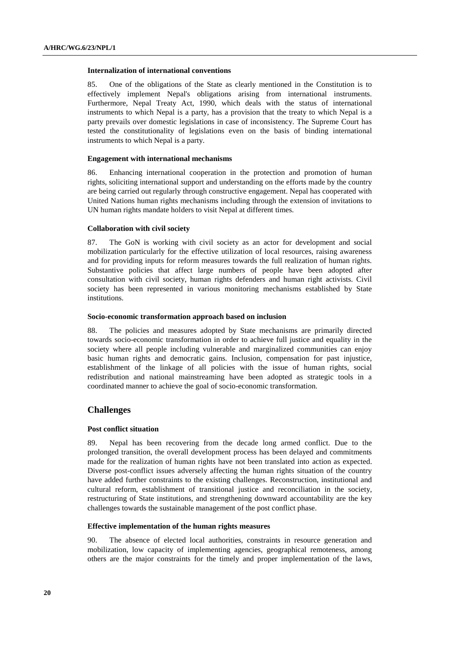#### **Internalization of international conventions**

85. One of the obligations of the State as clearly mentioned in the Constitution is to effectively implement Nepal's obligations arising from international instruments. Furthermore, Nepal Treaty Act, 1990, which deals with the status of international instruments to which Nepal is a party, has a provision that the treaty to which Nepal is a party prevails over domestic legislations in case of inconsistency. The Supreme Court has tested the constitutionality of legislations even on the basis of binding international instruments to which Nepal is a party.

#### **Engagement with international mechanisms**

86. Enhancing international cooperation in the protection and promotion of human rights, soliciting international support and understanding on the efforts made by the country are being carried out regularly through constructive engagement. Nepal has cooperated with United Nations human rights mechanisms including through the extension of invitations to UN human rights mandate holders to visit Nepal at different times.

### **Collaboration with civil society**

87. The GoN is working with civil society as an actor for development and social mobilization particularly for the effective utilization of local resources, raising awareness and for providing inputs for reform measures towards the full realization of human rights. Substantive policies that affect large numbers of people have been adopted after consultation with civil society, human rights defenders and human right activists. Civil society has been represented in various monitoring mechanisms established by State institutions.

#### **Socio-economic transformation approach based on inclusion**

88. The policies and measures adopted by State mechanisms are primarily directed towards socio-economic transformation in order to achieve full justice and equality in the society where all people including vulnerable and marginalized communities can enjoy basic human rights and democratic gains. Inclusion, compensation for past injustice, establishment of the linkage of all policies with the issue of human rights, social redistribution and national mainstreaming have been adopted as strategic tools in a coordinated manner to achieve the goal of socio-economic transformation.

### **Challenges**

### **Post conflict situation**

89. Nepal has been recovering from the decade long armed conflict. Due to the prolonged transition, the overall development process has been delayed and commitments made for the realization of human rights have not been translated into action as expected. Diverse post-conflict issues adversely affecting the human rights situation of the country have added further constraints to the existing challenges. Reconstruction, institutional and cultural reform, establishment of transitional justice and reconciliation in the society, restructuring of State institutions, and strengthening downward accountability are the key challenges towards the sustainable management of the post conflict phase.

### **Effective implementation of the human rights measures**

90. The absence of elected local authorities, constraints in resource generation and mobilization, low capacity of implementing agencies, geographical remoteness, among others are the major constraints for the timely and proper implementation of the laws,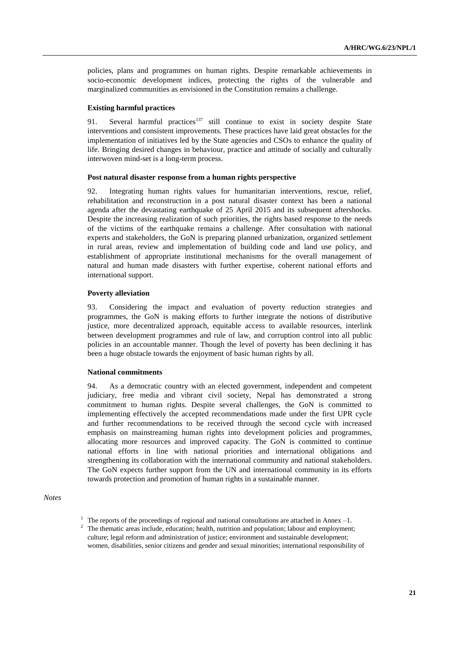policies, plans and programmes on human rights. Despite remarkable achievements in socio-economic development indices, protecting the rights of the vulnerable and marginalized communities as envisioned in the Constitution remains a challenge.

#### **Existing harmful practices**

91. Several harmful practices<sup>137</sup> still continue to exist in society despite State interventions and consistent improvements. These practices have laid great obstacles for the implementation of initiatives led by the State agencies and CSOs to enhance the quality of life. Bringing desired changes in behaviour, practice and attitude of socially and culturally interwoven mind-set is a long-term process.

#### **Post natural disaster response from a human rights perspective**

92. Integrating human rights values for humanitarian interventions, rescue, relief, rehabilitation and reconstruction in a post natural disaster context has been a national agenda after the devastating earthquake of 25 April 2015 and its subsequent aftershocks. Despite the increasing realization of such priorities, the rights based response to the needs of the victims of the earthquake remains a challenge. After consultation with national experts and stakeholders, the GoN is preparing planned urbanization, organized settlement in rural areas, review and implementation of building code and land use policy, and establishment of appropriate institutional mechanisms for the overall management of natural and human made disasters with further expertise, coherent national efforts and international support.

### **Poverty alleviation**

93. Considering the impact and evaluation of poverty reduction strategies and programmes, the GoN is making efforts to further integrate the notions of distributive justice, more decentralized approach, equitable access to available resources, interlink between development programmes and rule of law, and corruption control into all public policies in an accountable manner. Though the level of poverty has been declining it has been a huge obstacle towards the enjoyment of basic human rights by all.

### **National commitments**

94. As a democratic country with an elected government, independent and competent judiciary, free media and vibrant civil society, Nepal has demonstrated a strong commitment to human rights. Despite several challenges, the GoN is committed to implementing effectively the accepted recommendations made under the first UPR cycle and further recommendations to be received through the second cycle with increased emphasis on mainstreaming human rights into development policies and programmes, allocating more resources and improved capacity. The GoN is committed to continue national efforts in line with national priorities and international obligations and strengthening its collaboration with the international community and national stakeholders. The GoN expects further support from the UN and international community in its efforts towards protection and promotion of human rights in a sustainable manner.

*Notes*

<sup>2</sup> The thematic areas include, education; health, nutrition and population; labour and employment; culture; legal reform and administration of justice; environment and sustainable development; women, disabilities, senior citizens and gender and sexual minorities; international responsibility of

<sup>&</sup>lt;sup>1</sup> The reports of the proceedings of regional and national consultations are attached in Annex  $-1$ .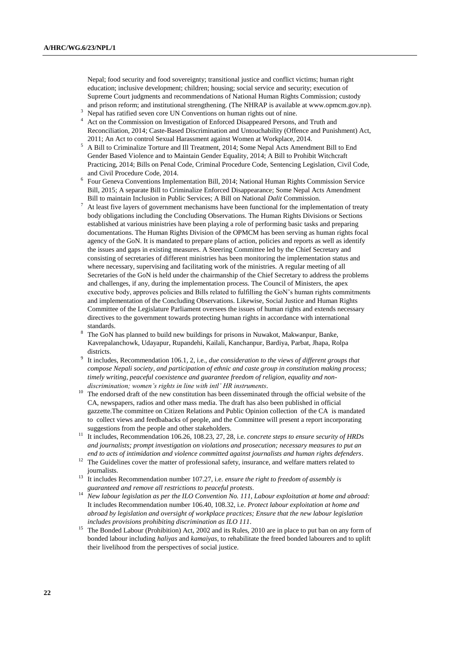Nepal; food security and food sovereignty; transitional justice and conflict victims; human right education; inclusive development; children; housing; social service and security; execution of Supreme Court judgments and recommendations of National Human Rights Commission; custody and prison reform; and institutional strengthening. (The NHRAP is available at www.opmcm.gov.np).

- <sup>3</sup> Nepal has ratified seven core UN Conventions on human rights out of nine.
- Act on the Commission on Investigation of Enforced Disappeared Persons, and Truth and Reconciliation, 2014; Caste-Based Discrimination and Untouchability (Offence and Punishment) Act, 2011; An Act to control Sexual Harassment against Women at Workplace, 2014.
- <sup>5</sup> A Bill to Criminalize Torture and Ill Treatment, 2014; Some Nepal Acts Amendment Bill to End Gender Based Violence and to Maintain Gender Equality, 2014; A Bill to Prohibit Witchcraft Practicing, 2014; Bills on Penal Code, Criminal Procedure Code, Sentencing Legislation, Civil Code, and Civil Procedure Code, 2014.
- <sup>6</sup> Four Geneva Conventions Implementation Bill, 2014; National Human Rights Commission Service Bill, 2015; A separate Bill to Criminalize Enforced Disappearance; Some Nepal Acts Amendment Bill to maintain Inclusion in Public Services; A Bill on National *Dalit* Commission.
- $7$  At least five layers of government mechanisms have been functional for the implementation of treaty body obligations including the Concluding Observations. The Human Rights Divisions or Sections established at various ministries have been playing a role of performing basic tasks and preparing documentations. The Human Rights Division of the OPMCM has been serving as human rights focal agency of the GoN. It is mandated to prepare plans of action, policies and reports as well as identify the issues and gaps in existing measures. A Steering Committee led by the Chief Secretary and consisting of secretaries of different ministries has been monitoring the implementation status and where necessary, supervising and facilitating work of the ministries. A regular meeting of all Secretaries of the GoN is held under the chairmanship of the Chief Secretary to address the problems and challenges, if any, during the implementation process. The Council of Ministers, the apex executive body, approves policies and Bills related to fulfilling the GoN's human rights commitments and implementation of the Concluding Observations. Likewise, Social Justice and Human Rights Committee of the Legislature Parliament oversees the issues of human rights and extends necessary directives to the government towards protecting human rights in accordance with international standards.
- The GoN has planned to build new buildings for prisons in Nuwakot, Makwanpur, Banke, Kavrepalanchowk, Udayapur, Rupandehi, Kailali, Kanchanpur, Bardiya, Parbat, Jhapa, Rolpa districts.
- 9 It includes, Recommendation 106.1, 2, i.e., *due consideration to the views of different groups that compose Nepali society, and participation of ethnic and caste group in constitution making process; timely writing, peaceful coexistence and guarantee freedom of religion, equality and nondiscrimination; women's rights in line with intl' HR instruments*.
- <sup>10</sup> The endorsed draft of the new constitution has been disseminated through the official website of the CA, newspapers, radios and other mass media. The draft has also been published in official gazzette.The committee on Citizen Relations and Public Opinion collection of the CA is mandated to collect views and feedbabacks of people, and the Committee will present a report incorporating suggestions from the people and other stakeholders.
- <sup>11</sup> It includes, Recommendation 106.26, 108.23, 27, 28, i.e. *concrete steps to ensure security of HRDs and journalists; prompt investigation on violations and prosecution; necessary measures to put an end to acts of intimidation and violence committed against journalists and human rights defenders*.
- <sup>12</sup> The Guidelines cover the matter of professional safety, insurance, and welfare matters related to journalists.
- <sup>13</sup> It includes Recommendation number 107.27, i.e. *ensure the right to freedom of assembly is guaranteed and remove all restrictions to peaceful protests*.
- <sup>14</sup> *New labour legislation as per the ILO Convention No. 111, Labour exploitation at home and abroad:*  It includes Recommendation number 106.40, 108.32, i.e. *Protect labour exploitation at home and abroad by legislation and oversight of workplace practices; Ensure that the new labour legislation includes provisions prohibiting discrimination as ILO 111*.
- <sup>15</sup> The Bonded Labour (Prohibition) Act, 2002 and its Rules, 2010 are in place to put ban on any form of bonded labour including *haliyas* and *kamaiyas*, to rehabilitate the freed bonded labourers and to uplift their livelihood from the perspectives of social justice.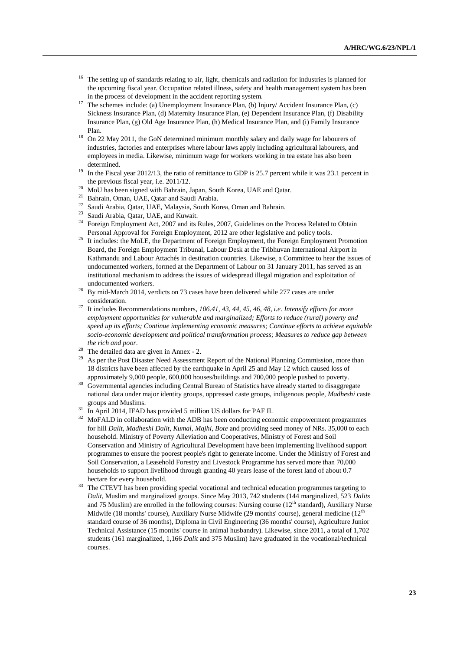- <sup>16</sup> The setting up of standards relating to air, light, chemicals and radiation for industries is planned for the upcoming fiscal year. Occupation related illness, safety and health management system has been in the process of development in the accident reporting system.
- <sup>17</sup> The schemes include: (a) Unemployment Insurance Plan, (b) Injury/ Accident Insurance Plan, (c) Sickness Insurance Plan, (d) Maternity Insurance Plan, (e) Dependent Insurance Plan, (f) Disability Insurance Plan, (g) Old Age Insurance Plan, (h) Medical Insurance Plan, and (i) Family Insurance Plan.
- <sup>18</sup> On 22 May 2011, the GoN determined minimum monthly salary and daily wage for labourers of industries, factories and enterprises where labour laws apply including agricultural labourers, and employees in media. Likewise, minimum wage for workers working in tea estate has also been determined.
- <sup>19</sup> In the Fiscal year 2012/13, the ratio of remittance to GDP is 25.7 percent while it was 23.1 percent in the previous fiscal year, i.e. 2011/12.
- <sup>20</sup> MoU has been signed with Bahrain, Japan, South Korea, UAE and Qatar.
- <sup>21</sup> Bahrain, Oman, UAE, Qatar and Saudi Arabia.
- <sup>22</sup> Saudi Arabia, Qatar, UAE, Malaysia, South Korea, Oman and Bahrain.
- <sup>23</sup> Saudi Arabia, Qatar, UAE, and Kuwait.
- <sup>24</sup> Foreign Employment Act, 2007 and its Rules, 2007, Guidelines on the Process Related to Obtain Personal Approval for Foreign Employment, 2012 are other legislative and policy tools.
- <sup>25</sup> It includes: the MoLE, the Department of Foreign Employment, the Foreign Employment Promotion Board, the Foreign Employment Tribunal, Labour Desk at the Tribhuvan International Airport in Kathmandu and Labour Attachés in destination countries. Likewise, a Committee to hear the issues of undocumented workers, formed at the Department of Labour on 31 January 2011, has served as an institutional mechanism to address the issues of widespread illegal migration and exploitation of undocumented workers.
- $26$  By mid-March 2014, verdicts on 73 cases have been delivered while 277 cases are under consideration.
- <sup>27</sup> It includes Recommendations numbers, *106.41, 43, 44, 45, 46, 48, i.e. Intensify efforts for more employment opportunities for vulnerable and marginalized; Efforts to reduce (rural) poverty and speed up its efforts; Continue implementing economic measures; Continue efforts to achieve equitable socio-economic development and political transformation process; Measures to reduce gap between the rich and poor*.
- <sup>28</sup> The detailed data are given in Annex  $-$  2.
- As per the Post Disaster Need Assessment Report of the National Planning Commission, more than 18 districts have been affected by the earthquake in April 25 and May 12 which caused loss of approximately 9,000 people, 600,000 houses/buildings and 700,000 people pushed to poverty.
- <sup>30</sup> Governmental agencies including Central Bureau of Statistics have already started to disaggregate national data under major identity groups, oppressed caste groups, indigenous people, *Madheshi* caste groups and Muslims.
- <sup>31</sup> In April 2014, IFAD has provided 5 million US dollars for PAF II.
- <sup>32</sup> MoFALD in collaboration with the ADB has been conducting economic empowerment programmes for hill *Dalit*, *Madheshi Dalit*, *Kumal*, *Majhi, Bote* and providing seed money of NRs. 35,000 to each household. Ministry of Poverty Alleviation and Cooperatives, Ministry of Forest and Soil Conservation and Ministry of Agricultural Development have been implementing livelihood support programmes to ensure the poorest people's right to generate income. Under the Ministry of Forest and Soil Conservation, a Leasehold Forestry and Livestock Programme has served more than 70,000 households to support livelihood through granting 40 years lease of the forest land of about 0.7 hectare for every household.
- <sup>33</sup> The CTEVT has been providing special vocational and technical education programmes targeting to *Dalit*, Muslim and marginalized groups. Since May 2013, 742 students (144 marginalized, 523 *Dalits*  and 75 Muslim) are enrolled in the following courses: Nursing course  $(12<sup>th</sup>$  standard), Auxiliary Nurse Midwife (18 months' course), Auxiliary Nurse Midwife (29 months' course), general medicine (12<sup>th</sup> standard course of 36 months), Diploma in Civil Engineering (36 months' course), Agriculture Junior Technical Assistance (15 months' course in animal husbandry). Likewise, since 2011, a total of 1,702 students (161 marginalized, 1,166 *Dalit* and 375 Muslim) have graduated in the vocational/technical courses.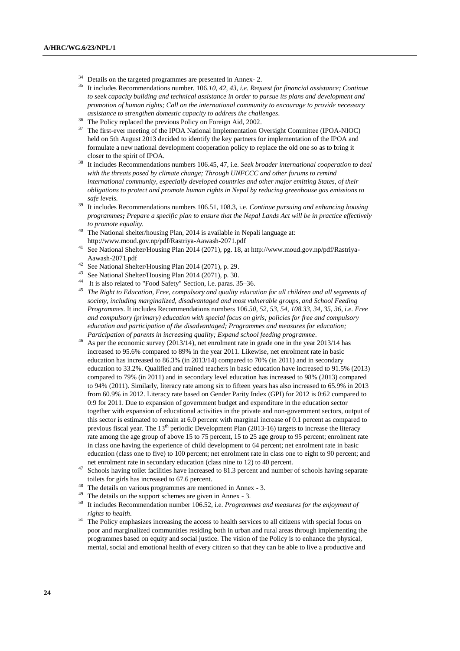- <sup>34</sup> Details on the targeted programmes are presented in Annex- 2.<br><sup>35</sup> It includes Recommendations number 106.10.42.43 i.e. Recu
- <sup>35</sup> It includes Recommendations number. 106.*10, 42, 43, i.e. Request for financial assistance; Continue to seek capacity building and technical assistance in order to pursue its plans and development and promotion of human rights; Call on the international community to encourage to provide necessary assistance to strengthen domestic capacity to address the challenges.*
- <sup>36</sup> The Policy replaced the previous Policy on Foreign Aid, 2002.
- <sup>37</sup> The first-ever meeting of the IPOA National Implementation Oversight Committee (IPOA-NIOC) held on 5th August 2013 decided to identify the key partners for implementation of the IPOA and formulate a new national development cooperation policy to replace the old one so as to bring it closer to the spirit of IPOA.
- <sup>38</sup> It includes Recommendations numbers 106.45, 47, i.e. *Seek broader international cooperation to deal with the threats posed by climate change; Through UNFCCC and other forums to remind international community, especially developed countries and other major emitting States, of their obligations to protect and promote human rights in Nepal by reducing greenhouse gas emissions to safe levels.*
- <sup>39</sup> It includes Recommendations numbers 106.51, 108.3, i.e. *Continue pursuing and enhancing housing programmes; Prepare a specific plan to ensure that the Nepal Lands Act will be in practice effectively to promote equality.*
- <sup>40</sup> The National shelter/housing Plan, 2014 is available in Nepali language at: http://www.moud.gov.np/pdf/Rastriya-Aawash-2071.pdf
- See National Shelter/Housing Plan 2014 (2071), pg. 18, at http://www.moud.gov.np/pdf/Rastriya-Aawash-2071.pdf
- <sup>42</sup> See National Shelter/Housing Plan 2014 (2071), p. 29.<br><sup>43</sup> See National Shelter/Housing Plan 2014 (2071), p. 20.
- <sup>43</sup> See National Shelter/Housing Plan 2014 (2071), p. 30.<br><sup>44</sup> It is also related to "Food Sofaty" Section i.e. name 2
- It is also related to "Food Safety" Section, i.e. paras. 35–36.
- <sup>45</sup> *The Right to Education, Free, compulsory and quality education for all children and all segments of society, including marginalized, disadvantaged and most vulnerable groups, and School Feeding Programmes.* It includes Recommendations numbers 106.*50, 52, 53, 54, 108.33, 34, 35, 36, i.e. Free and compulsory (primary) education with special focus on girls; policies for free and compulsory education and participation of the disadvantaged; Programmes and measures for education; Participation of parents in increasing quality; Expand school feeding programme*.
- <sup>46</sup> As per the economic survey (2013/14), net enrolment rate in grade one in the year 2013/14 has increased to 95.6% compared to 89% in the year 2011. Likewise, net enrolment rate in basic education has increased to 86.3% (in 2013/14) compared to 70% (in 2011) and in secondary education to 33.2%. Qualified and trained teachers in basic education have increased to 91.5% (2013) compared to 79% (in 2011) and in secondary level education has increased to 98% (2013) compared to 94% (2011). Similarly, literacy rate among six to fifteen years has also increased to 65.9% in 2013 from 60.9% in 2012. Literacy rate based on Gender Parity Index (GPI) for 2012 is 0:62 compared to 0:9 for 2011. Due to expansion of government budget and expenditure in the education sector together with expansion of educational activities in the private and non-government sectors, output of this sector is estimated to remain at 6.0 percent with marginal increase of 0.1 percent as compared to previous fiscal year. The  $13<sup>th</sup>$  periodic Development Plan (2013-16) targets to increase the literacy rate among the age group of above 15 to 75 percent, 15 to 25 age group to 95 percent; enrolment rate in class one having the experience of child development to 64 percent; net enrolment rate in basic education (class one to five) to 100 percent; net enrolment rate in class one to eight to 90 percent; and net enrolment rate in secondary education (class nine to 12) to 40 percent.
- <sup>47</sup> Schools having toilet facilities have increased to 81.3 percent and number of schools having separate toilets for girls has increased to 67.6 percent.
- <sup>48</sup> The details on various programmes are mentioned in Annex 3.
- <sup>49</sup> The details on the support schemes are given in Annex 3.<br><sup>50</sup> It includes Becommondation number 106.52 i.e. *Brogram*
- <sup>50</sup> It includes Recommendation number 106.52, i.e. *Programmes and measures for the enjoyment of rights to health*.
- <sup>51</sup> The Policy emphasizes increasing the access to health services to all citizens with special focus on poor and marginalized communities residing both in urban and rural areas through implementing the programmes based on equity and social justice. The vision of the Policy is to enhance the physical, mental, social and emotional health of every citizen so that they can be able to live a productive and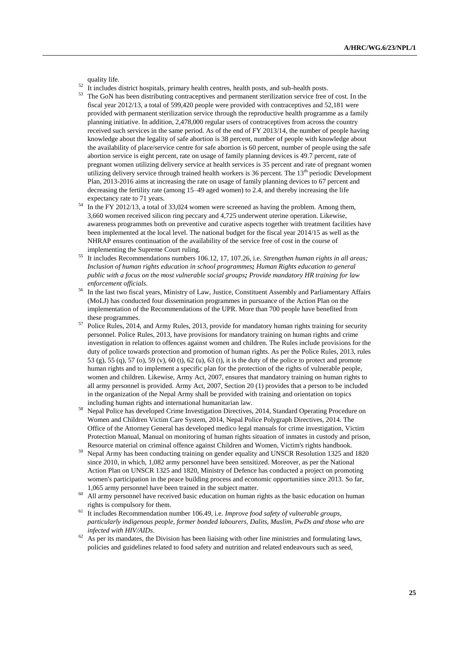quality life.

- <sup>52</sup> It includes district hospitals, primary health centres, health posts, and sub-health posts.
- The GoN has been distributing contraceptives and permanent sterilization service free of cost. In the fiscal year 2012/13, a total of 599,420 people were provided with contraceptives and 52,181 were provided with permanent sterilization service through the reproductive health programme as a family planning initiative. In addition, 2,478,000 regular users of contraceptives from across the country received such services in the same period. As of the end of FY 2013/14, the number of people having knowledge about the legality of safe abortion is 38 percent, number of people with knowledge about the availability of place/service centre for safe abortion is 60 percent, number of people using the safe abortion service is eight percent, rate on usage of family planning devices is 49.7 percent, rate of pregnant women utilizing delivery service at health services is 35 percent and rate of pregnant women utilizing delivery service through trained health workers is 36 percent. The 13<sup>th</sup> periodic Development Plan, 2013-2016 aims at increasing the rate on usage of family planning devices to 67 percent and decreasing the fertility rate (among 15–49 aged women) to 2.4, and thereby increasing the life expectancy rate to 71 years.
- <sup>54</sup> In the FY 2012/13, a total of 33,024 women were screened as having the problem. Among them, 3,660 women received silicon ring peccary and 4,725 underwent uterine operation. Likewise, awareness programmes both on preventive and curative aspects together with treatment facilities have been implemented at the local level. The national budget for the fiscal year 2014/15 as well as the NHRAP ensures continuation of the availability of the service free of cost in the course of implementing the Supreme Court ruling.
- <sup>55</sup> It includes Recommendations numbers 106.12, 17, 107.26, i.e. *Strengthen human rights in all areas; Inclusion of human rights education in school programmes; Human Rights education to general public with a focus on the most vulnerable social groups; Provide mandatory HR training for law enforcement officials*.
- <sup>56</sup> In the last two fiscal years, Ministry of Law, Justice, Constituent Assembly and Parliamentary Affairs (MoLJ) has conducted four dissemination programmes in pursuance of the Action Plan on the implementation of the Recommendations of the UPR. More than 700 people have benefited from these programmes.
- <sup>57</sup> Police Rules, 2014, and Army Rules, 2013, provide for mandatory human rights training for security personnel. Police Rules, 2013, have provisions for mandatory training on human rights and crime investigation in relation to offences against women and children. The Rules include provisions for the duty of police towards protection and promotion of human rights. As per the Police Rules, 2013, rules 53 (g), 55 (q), 57 (o), 59 (v), 60 (t), 62 (u), 63 (t), it is the duty of the police to protect and promote human rights and to implement a specific plan for the protection of the rights of vulnerable people, women and children. Likewise, Army Act, 2007, ensures that mandatory training on human rights to all army personnel is provided. Army Act, 2007, Section 20 (1) provides that a person to be included in the organization of the Nepal Army shall be provided with training and orientation on topics including human rights and international humanitarian law.
- <sup>58</sup> Nepal Police has developed Crime Investigation Directives, 2014, Standard Operating Procedure on Women and Children Victim Care System, 2014, Nepal Police Polygraph Directives, 2014. The Office of the Attorney General has developed medico legal manuals for crime investigation, Victim Protection Manual, Manual on monitoring of human rights situation of inmates in custody and prison, Resource material on criminal offence against Children and Women, Victim's rights handbook.
- <sup>59</sup> Nepal Army has been conducting training on gender equality and UNSCR Resolution 1325 and 1820 since 2010, in which, 1,082 army personnel have been sensitized. Moreover, as per the National Action Plan on UNSCR 1325 and 1820, Ministry of Defence has conducted a project on promoting women's participation in the peace building process and economic opportunities since 2013. So far, 1,065 army personnel have been trained in the subject matter.
- <sup>60</sup> All army personnel have received basic education on human rights as the basic education on human rights is compulsory for them.
- <sup>61</sup> It includes Recommendation number 106.49, i.e. *Improve food safety of vulnerable groups, particularly indigenous people, former bonded labourers, Dalits, Muslim, PwDs and those who are infected with HIV/AIDs*.
- $62$  As per its mandates, the Division has been liaising with other line ministries and formulating laws, policies and guidelines related to food safety and nutrition and related endeavours such as seed,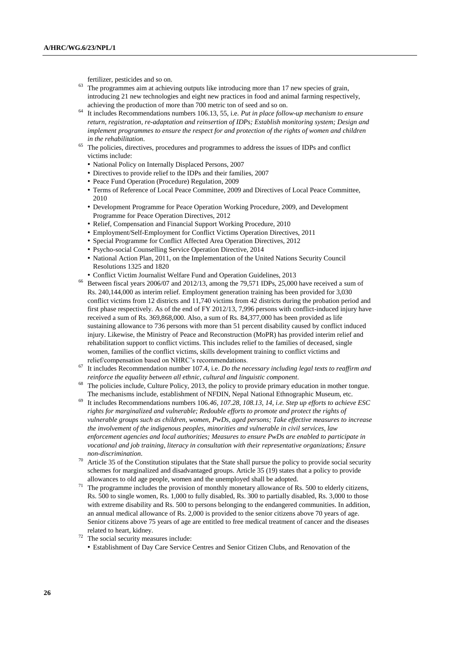fertilizer, pesticides and so on.

- <sup>63</sup> The programmes aim at achieving outputs like introducing more than 17 new species of grain, introducing 21 new technologies and eight new practices in food and animal farming respectively, achieving the production of more than 700 metric ton of seed and so on.
- <sup>64</sup> It includes Recommendations numbers 106.13, 55, i.e. *Put in place follow-up mechanism to ensure return, registration, re-adaptation and reinsertion of IDPs; Establish monitoring system; Design and implement programmes to ensure the respect for and protection of the rights of women and children in the rehabilitation*.
- <sup>65</sup> The policies, directives, procedures and programmes to address the issues of IDPs and conflict victims include:
	- National Policy on Internally Displaced Persons, 2007
	- Directives to provide relief to the IDPs and their families, 2007
	- Peace Fund Operation (Procedure) Regulation, 2009
	- Terms of Reference of Local Peace Committee, 2009 and Directives of Local Peace Committee, 2010
	- Development Programme for Peace Operation Working Procedure, 2009, and Development Programme for Peace Operation Directives, 2012
	- Relief, Compensation and Financial Support Working Procedure, 2010
	- Employment/Self-Employment for Conflict Victims Operation Directives, 2011
	- Special Programme for Conflict Affected Area Operation Directives, 2012
	- Psycho-social Counselling Service Operation Directive, 2014
	- National Action Plan, 2011, on the Implementation of the United Nations Security Council Resolutions 1325 and 1820
	- Conflict Victim Journalist Welfare Fund and Operation Guidelines, 2013
- <sup>66</sup> Between fiscal years 2006/07 and 2012/13, among the 79,571 IDPs, 25,000 have received a sum of Rs. 240,144,000 as interim relief. Employment generation training has been provided for 3,030 conflict victims from 12 districts and 11,740 victims from 42 districts during the probation period and first phase respectively. As of the end of FY 2012/13, 7,996 persons with conflict-induced injury have received a sum of Rs. 369,868,000. Also, a sum of Rs. 84,377,000 has been provided as life sustaining allowance to 736 persons with more than 51 percent disability caused by conflict induced injury. Likewise, the Ministry of Peace and Reconstruction (MoPR) has provided interim relief and rehabilitation support to conflict victims. This includes relief to the families of deceased, single women, families of the conflict victims, skills development training to conflict victims and relief/compensation based on NHRC's recommendations.
- <sup>67</sup> It includes Recommendation number 107.4, i.e. *Do the necessary including legal texts to reaffirm and reinforce the equality between all ethnic, cultural and linguistic component*.
- <sup>68</sup> The policies include, Culture Policy, 2013, the policy to provide primary education in mother tongue. The mechanisms include, establishment of NFDIN, Nepal National Ethnographic Museum, etc.
- <sup>69</sup> It includes Recommendations numbers 106.*46, 107.28, 108.13, 14, i.e. Step up efforts to achieve ESC rights for marginalized and vulnerable; Redouble efforts to promote and protect the rights of vulnerable groups such as children, women, PwDs, aged persons; Take effective measures to increase the involvement of the indigenous peoples, minorities and vulnerable in civil services, law enforcement agencies and local authorities; Measures to ensure PwDs are enabled to participate in vocational and job training, literacy in consultation with their representative organizations; Ensure non-discrimination*.
- $70$  Article 35 of the Constitution stipulates that the State shall pursue the policy to provide social security schemes for marginalized and disadvantaged groups. Article 35 (19) states that a policy to provide allowances to old age people, women and the unemployed shall be adopted.
- $71$  The programme includes the provision of monthly monetary allowance of Rs. 500 to elderly citizens, Rs. 500 to single women, Rs. 1,000 to fully disabled, Rs. 300 to partially disabled, Rs. 3,000 to those with extreme disability and Rs. 500 to persons belonging to the endangered communities. In addition, an annual medical allowance of Rs. 2,000 is provided to the senior citizens above 70 years of age. Senior citizens above 75 years of age are entitled to free medical treatment of cancer and the diseases related to heart, kidney.
- The social security measures include:
- Establishment of Day Care Service Centres and Senior Citizen Clubs, and Renovation of the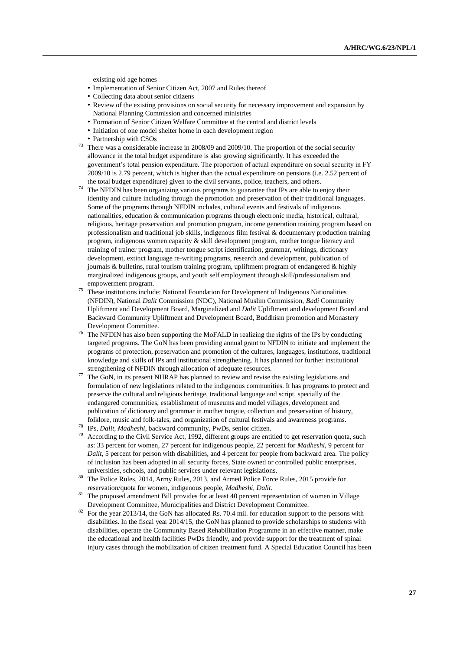existing old age homes

- Implementation of Senior Citizen Act, 2007 and Rules thereof
- Collecting data about senior citizens
- Review of the existing provisions on social security for necessary improvement and expansion by National Planning Commission and concerned ministries
- Formation of Senior Citizen Welfare Committee at the central and district levels
- Initiation of one model shelter home in each development region
- Partnership with CSOs
- <sup>73</sup> There was a considerable increase in 2008/09 and 2009/10. The proportion of the social security allowance in the total budget expenditure is also growing significantly. It has exceeded the government's total pension expenditure. The proportion of actual expenditure on social security in FY 2009/10 is 2.79 percent, which is higher than the actual expenditure on pensions (i.e. 2.52 percent of the total budget expenditure) given to the civil servants, police, teachers, and others.
- <sup>74</sup> The NFDIN has been organizing various programs to guarantee that IPs are able to enjoy their identity and culture including through the promotion and preservation of their traditional languages. Some of the programs through NFDIN includes, cultural events and festivals of indigenous nationalities, education & communication programs through electronic media, historical, cultural, religious, heritage preservation and promotion program, income generation training program based on professionalism and traditional job skills, indigenous film festival & documentary production training program, indigenous women capacity & skill development program, mother tongue literacy and training of trainer program, mother tongue script identification, grammar, writings, dictionary development, extinct language re-writing programs, research and development, publication of journals & bulletins, rural tourism training program, upliftment program of endangered & highly marginalized indigenous groups, and youth self employment through skill/professionalism and empowerment program.
- These institutions include: National Foundation for Development of Indigenous Nationalities (NFDIN), National *Dalit* Commission (NDC), National Muslim Commission, *Badi* Community Upliftment and Development Board, Marginalized and *Dalit* Upliftment and development Board and Backward Community Upliftment and Development Board, Buddhism promotion and Monastery Development Committee.
- <sup>76</sup> The NFDIN has also been supporting the MoFALD in realizing the rights of the IPs by conducting targeted programs. The GoN has been providing annual grant to NFDIN to initiate and implement the programs of protection, preservation and promotion of the cultures, languages, institutions, traditional knowledge and skills of IPs and institutional strengthening. It has planned for further institutional strengthening of NFDIN through allocation of adequate resources.
- $\frac{1}{77}$  The GoN, in its present NHRAP has planned to review and revise the existing legislations and formulation of new legislations related to the indigenous communities. It has programs to protect and preserve the cultural and religious heritage, traditional language and script, specially of the endangered communities, establishment of museums and model villages, development and publication of dictionary and grammar in mother tongue, collection and preservation of history, folklore, music and folk-tales, and organization of cultural festivals and awareness programs.
- <sup>78</sup> IPs, *Dalit, Madheshi*, backward community, PwDs, senior citizen.
- According to the Civil Service Act, 1992, different groups are entitled to get reservation quota, such as: 33 percent for women, 27 percent for indigenous people, 22 percent for *Madheshi*, 9 percent for *Dalit*, 5 percent for person with disabilities, and 4 percent for people from backward area. The policy of inclusion has been adopted in all security forces, State owned or controlled public enterprises, universities, schools, and public services under relevant legislations.
- <sup>80</sup> The Police Rules, 2014, Army Rules, 2013, and Armed Police Force Rules, 2015 provide for reservation/quota for women, indigenous people, *Madheshi, Dalit*.
- <sup>81</sup> The proposed amendment Bill provides for at least 40 percent representation of women in Village Development Committee, Municipalities and District Development Committee.
- <sup>82</sup> For the year 2013/14, the GoN has allocated Rs. 70.4 mil. for education support to the persons with disabilities. In the fiscal year 2014/15, the GoN has planned to provide scholarships to students with disabilities, operate the Community Based Rehabilitation Programme in an effective manner, make the educational and health facilities PwDs friendly, and provide support for the treatment of spinal injury cases through the mobilization of citizen treatment fund. A Special Education Council has been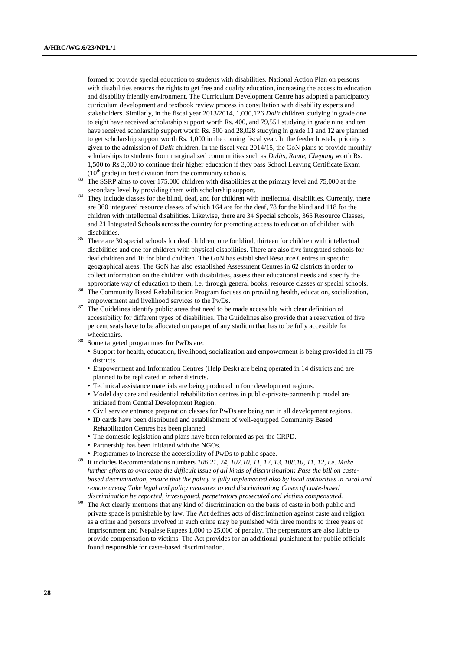formed to provide special education to students with disabilities. National Action Plan on persons with disabilities ensures the rights to get free and quality education, increasing the access to education and disability friendly environment. The Curriculum Development Centre has adopted a participatory curriculum development and textbook review process in consultation with disability experts and stakeholders. Similarly, in the fiscal year 2013/2014, 1,030,126 *Dalit* children studying in grade one to eight have received scholarship support worth Rs. 400, and 79,551 studying in grade nine and ten have received scholarship support worth Rs. 500 and 28,028 studying in grade 11 and 12 are planned to get scholarship support worth Rs. 1,000 in the coming fiscal year. In the feeder hostels, priority is given to the admission of *Dalit* children. In the fiscal year 2014/15, the GoN plans to provide monthly scholarships to students from marginalized communities such as *Dalits, Raute, Chepang* worth Rs. 1,500 to Rs 3,000 to continue their higher education if they pass School Leaving Certificate Exam  $(10<sup>th</sup> \text{ grade})$  in first division from the community schools.

- <sup>83</sup> The SSRP aims to cover 175,000 children with disabilities at the primary level and 75,000 at the secondary level by providing them with scholarship support.
- <sup>84</sup> They include classes for the blind, deaf, and for children with intellectual disabilities. Currently, there are 360 integrated resource classes of which 164 are for the deaf, 78 for the blind and 118 for the children with intellectual disabilities. Likewise, there are 34 Special schools, 365 Resource Classes, and 21 Integrated Schools across the country for promoting access to education of children with disabilities.
- <sup>85</sup> There are 30 special schools for deaf children, one for blind, thirteen for children with intellectual disabilities and one for children with physical disabilities. There are also five integrated schools for deaf children and 16 for blind children. The GoN has established Resource Centres in specific geographical areas. The GoN has also established Assessment Centres in 62 districts in order to collect information on the children with disabilities, assess their educational needs and specify the appropriate way of education to them, i.e. through general books, resource classes or special schools.
- <sup>86</sup> The Community Based Rehabilitation Program focuses on providing health, education, socialization, empowerment and livelihood services to the PwDs.
- The Guidelines identify public areas that need to be made accessible with clear definition of accessibility for different types of disabilities. The Guidelines also provide that a reservation of five percent seats have to be allocated on parapet of any stadium that has to be fully accessible for wheelchairs.
- <sup>88</sup> Some targeted programmes for PwDs are:
	- Support for health, education, livelihood, socialization and empowerment is being provided in all 75 districts.
	- Empowerment and Information Centres (Help Desk) are being operated in 14 districts and are planned to be replicated in other districts.
	- Technical assistance materials are being produced in four development regions.
	- Model day care and residential rehabilitation centres in public-private-partnership model are initiated from Central Development Region.
	- Civil service entrance preparation classes for PwDs are being run in all development regions.
	- ID cards have been distributed and establishment of well-equipped Community Based Rehabilitation Centres has been planned.
	- The domestic legislation and plans have been reformed as per the CRPD.
	- Partnership has been initiated with the NGOs.
	- Programmes to increase the accessibility of PwDs to public space.
- <sup>89</sup> It includes Recommendations numbers *106.21, 24, 107.10, 11, 12, 13, 108.10, 11, 12, i.e. Make further efforts to overcome the difficult issue of all kinds of discrimination; Pass the bill on castebased discrimination, ensure that the policy is fully implemented also by local authorities in rural and remote areas; Take legal and policy measures to end discrimination; Cases of caste-based discrimination be reported, investigated, perpetrators prosecuted and victims compensated.*
- The Act clearly mentions that any kind of discrimination on the basis of caste in both public and private space is punishable by law. The Act defines acts of discrimination against caste and religion as a crime and persons involved in such crime may be punished with three months to three years of imprisonment and Nepalese Rupees 1,000 to 25,000 of penalty. The perpetrators are also liable to provide compensation to victims. The Act provides for an additional punishment for public officials found responsible for caste-based discrimination.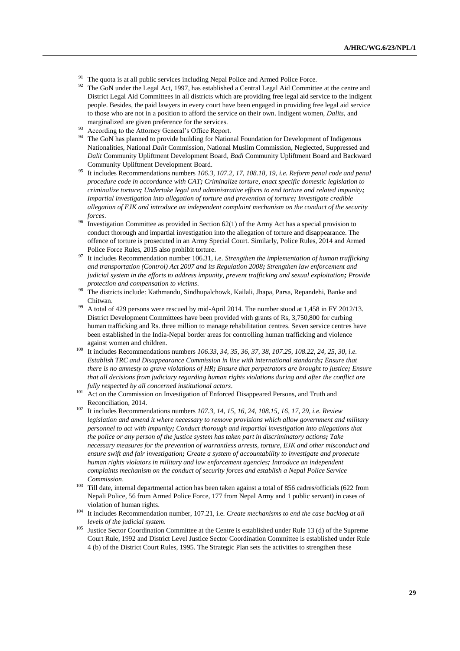- <sup>91</sup> The quota is at all public services including Nepal Police and Armed Police Force.<br><sup>92</sup> The CoN under the Legal Art, 1007, here established a Central Legal Aid Committee
- The GoN under the Legal Act, 1997, has established a Central Legal Aid Committee at the centre and District Legal Aid Committees in all districts which are providing free legal aid service to the indigent people. Besides, the paid lawyers in every court have been engaged in providing free legal aid service to those who are not in a position to afford the service on their own. Indigent women, *Dalits,* and marginalized are given preference for the services.
- According to the Attorney General's Office Report.
- The GoN has planned to provide building for National Foundation for Development of Indigenous Nationalities, National *Dalit* Commission, National Muslim Commission, Neglected, Suppressed and *Dalit* Community Upliftment Development Board, *Badi* Community Upliftment Board and Backward Community Upliftment Development Board.
- <sup>95</sup> It includes Recommendations numbers *106.3, 107.2, 17, 108.18, 19, i.e. Reform penal code and penal procedure code in accordance with CAT; Criminalize torture, enact specific domestic legislation to criminalize torture; Undertake legal and administrative efforts to end torture and related impunity; Impartial investigation into allegation of torture and prevention of torture; Investigate credible allegation of EJK and introduce an independent complaint mechanism on the conduct of the security forces*.
- <sup>96</sup> Investigation Committee as provided in Section 62(1) of the Army Act has a special provision to conduct thorough and impartial investigation into the allegation of torture and disappearance. The offence of torture is prosecuted in an Army Special Court. Similarly, Police Rules, 2014 and Armed Police Force Rules, 2015 also prohibit torture.
- <sup>97</sup> It includes Recommendation number 106.31, i.e. *Strengthen the implementation of human trafficking and transportation (Control) Act 2007 and its Regulation 2008; Strengthen law enforcement and judicial system in the efforts to address impunity, prevent trafficking and sexual exploitation; Provide protection and compensation to victims*.
- <sup>98</sup> The districts include: Kathmandu, Sindhupalchowk, Kailali, Jhapa, Parsa, Repandehi, Banke and Chitwan.
- <sup>99</sup> A total of 429 persons were rescued by mid-April 2014. The number stood at 1,458 in FY 2012/13. District Development Committees have been provided with grants of Rs, 3,750,800 for curbing human trafficking and Rs. three million to manage rehabilitation centres. Seven service centres have been established in the India-Nepal border areas for controlling human trafficking and violence against women and children.
- <sup>100</sup> It includes Recommendations numbers *106.33, 34, 35, 36, 37, 38, 107.25, 108.22, 24, 25, 30, i.e. Establish TRC and Disappearance Commission in line with international standards; Ensure that there is no amnesty to grave violations of HR; Ensure that perpetrators are brought to justice; Ensure that all decisions from judiciary regarding human rights violations during and after the conflict are fully respected by all concerned institutional actors*.
- <sup>101</sup> Act on the Commission on Investigation of Enforced Disappeared Persons, and Truth and Reconciliation, 2014.
- <sup>102</sup> It includes Recommendations numbers *107.3, 14, 15, 16, 24, 108.15, 16, 17, 29, i.e. Review legislation and amend it where necessary to remove provisions which allow government and military personnel to act with impunity; Conduct thorough and impartial investigation into allegations that the police or any person of the justice system has taken part in discriminatory actions; Take necessary measures for the prevention of warrantless arrests, torture, EJK and other misconduct and ensure swift and fair investigation; Create a system of accountability to investigate and prosecute human rights violators in military and law enforcement agencies; Introduce an independent complaints mechanism on the conduct of security forces and establish a Nepal Police Service Commission*.
- <sup>103</sup> Till date, internal departmental action has been taken against a total of 856 cadres/officials (622 from Nepali Police, 56 from Armed Police Force, 177 from Nepal Army and 1 public servant) in cases of violation of human rights.
- <sup>104</sup> It includes Recommendation number, 107.21, i.e. *Create mechanisms to end the case backlog at all levels of the judicial system*.
- <sup>105</sup> Justice Sector Coordination Committee at the Centre is established under Rule 13 (d) of the Supreme Court Rule, 1992 and District Level Justice Sector Coordination Committee is established under Rule 4 (b) of the District Court Rules, 1995. The Strategic Plan sets the activities to strengthen these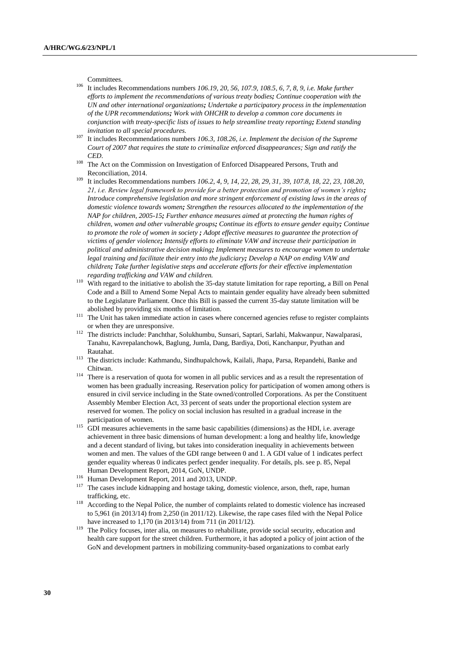Committees.

- <sup>106</sup> It includes Recommendations numbers *106.19, 20, 56, 107.9, 108.5, 6, 7, 8, 9, i.e. Make further efforts to implement the recommendations of various treaty bodies; Continue cooperation with the UN and other international organizations; Undertake a participatory process in the implementation of the UPR recommendations; Work with OHCHR to develop a common core documents in conjunction with treaty-specific lists of issues to help streamline treaty reporting; Extend standing invitation to all special procedures.*
- <sup>107</sup> It includes Recommendations numbers *106.3, 108.26, i.e. Implement the decision of the Supreme Court of 2007 that requires the state to criminalize enforced disappearances; Sign and ratify the CED*.
- <sup>108</sup> The Act on the Commission on Investigation of Enforced Disappeared Persons, Truth and Reconciliation, 2014.
- <sup>109</sup> It includes Recommendations numbers *106.2, 4, 9, 14, 22, 28, 29, 31, 39, 107.8, 18, 22, 23, 108.20, 21, i.e. Review legal framework to provide for a better protection and promotion of women's rights; Introduce comprehensive legislation and more stringent enforcement of existing laws in the areas of domestic violence towards women; Strengthen the resources allocated to the implementation of the NAP for children, 2005-15; Further enhance measures aimed at protecting the human rights of children, women and other vulnerable groups; Continue its efforts to ensure gender equity; Continue to promote the role of women in society ; Adopt effective measures to guarantee the protection of victims of gender violence; Intensify efforts to eliminate VAW and increase their participation in political and administrative decision making; Implement measures to encourage women to undertake legal training and facilitate their entry into the judiciary; Develop a NAP on ending VAW and children; Take further legislative steps and accelerate efforts for their effective implementation regarding trafficking and VAW and children.*
- <sup>110</sup> With regard to the initiative to abolish the 35-day statute limitation for rape reporting, a Bill on Penal Code and a Bill to Amend Some Nepal Acts to maintain gender equality have already been submitted to the Legislature Parliament. Once this Bill is passed the current 35-day statute limitation will be abolished by providing six months of limitation.
- <sup>111</sup> The Unit has taken immediate action in cases where concerned agencies refuse to register complaints or when they are unresponsive.
- <sup>112</sup> The districts include: Panchthar, Solukhumbu, Sunsari, Saptari, Sarlahi, Makwanpur, Nawalparasi, Tanahu, Kavrepalanchowk, Baglung, Jumla, Dang, Bardiya, Doti, Kanchanpur, Pyuthan and Rautahat.
- <sup>113</sup> The districts include: Kathmandu, Sindhupalchowk, Kailali, Jhapa, Parsa, Repandehi, Banke and Chitwan.
- <sup>114</sup> There is a reservation of quota for women in all public services and as a result the representation of women has been gradually increasing. Reservation policy for participation of women among others is ensured in civil service including in the State owned/controlled Corporations. As per the Constituent Assembly Member Election Act, 33 percent of seats under the proportional election system are reserved for women. The policy on social inclusion has resulted in a gradual increase in the participation of women.
- <sup>115</sup> GDI measures achievements in the same basic capabilities (dimensions) as the HDI, i.e. average achievement in three basic dimensions of human development: a long and healthy life, knowledge and a decent standard of living, but takes into consideration inequality in achievements between women and men. The values of the GDI range between 0 and 1. A GDI value of 1 indicates perfect gender equality whereas 0 indicates perfect gender inequality. For details, pls. see p. 85, Nepal Human Development Report, 2014, GoN, UNDP.
- <sup>116</sup> Human Development Report, 2011 and 2013, UNDP.
- <sup>117</sup> The cases include kidnapping and hostage taking, domestic violence, arson, theft, rape, human trafficking, etc.
- <sup>118</sup> According to the Nepal Police, the number of complaints related to domestic violence has increased to 5,961 (in 2013/14) from 2,250 (in 2011/12). Likewise, the rape cases filed with the Nepal Police have increased to 1,170 (in 2013/14) from 711 (in 2011/12).
- <sup>119</sup> The Policy focuses, inter alia, on measures to rehabilitate, provide social security, education and health care support for the street children. Furthermore, it has adopted a policy of joint action of the GoN and development partners in mobilizing community-based organizations to combat early